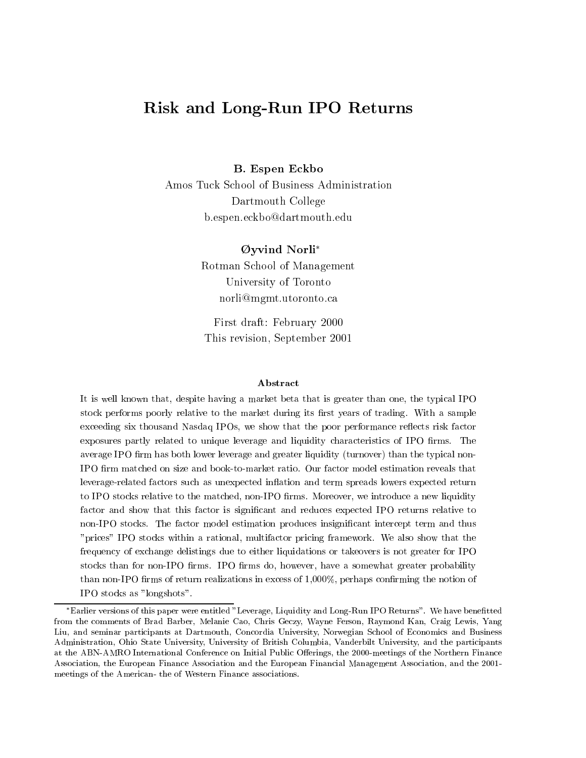# Risk and Long-Run IPO Returns

 $\blacksquare$  .  $\blacksquare$  . The expectation of  $\blacksquare$ 

Amos Tuck School of Business Administration Dartmouth College b.espen.eckbo@dartmouth.edu

> yvind Norli Rotman School of Management University of Toronto norli@mgmt.utoronto.ca

First draft: February 2000 This revision, September 2001

### Abstract

It is well known that, despite having a market beta that is greater than one, the typical IPO stock performs poorly relative to the market during its rst years of trading. With <sup>a</sup> sample exceeding six the decleration in the state of the process and performance respective respective respective to exposures partly related to unique leverage and liquidity characteristics of IPO rms. The average IPO firm has both lower leverage and greater liquidity (turnover) than the typical non-IPO rm matched on size and book-to-market ratio. Our factor model estimation reveals that leverage-related factors such as unexpected in
ation and term spreads lowers expected return to  $\scriptstyle\rm II$  O stocks relative to the matched, non-IPO mans. Moreover, we introduce a new nuturity factor and show that the show that the significant and reduces to a relative to the reduces to a relative to t non-IPO stocks. The factor model estimation produces insignicant intercept term andthus "prices" IPO stocks within <sup>a</sup> rational, multifactor pricing framework. We also show that the frequency of exchange delistings due to either liquidations or takeovers is not greater for IPO  $\sim$  stocks than for non-IPO minis. If  $\sim$  minis do, however, have a somewhat greater probability than non-IPO firms of return realizations in excess of  $1,000\%$ , perhaps confirming the notion of IPO stocks as "longshots".

Earlier versions of this paper were entitled "Leverage, Liquidity and Long-Run IPO Returns". We have benetted from the comments of Brad Barber, Melanie Cao, Chris Geczy, Wayne Ferson, Raymond Kan, Craig Lewis, Yang Liu, and seminar participants at Dartmouth, Concordia University, Norwegian School of Economics and Business Administration, Ohio State University, University of British Columbia, Vanderbilt University, and the participants at the ABN-AMRO International Conference on Initial Public Offerings, the 2000-meetings of the Northern Finance Association, the European Finance Association and the European Financial Management Association, and the 2001 meetings of the American- the of Western Finance associations.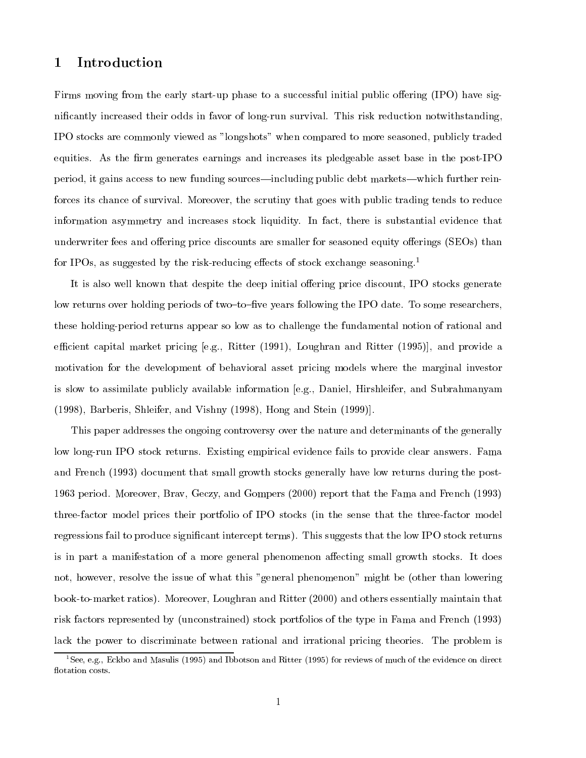### 1Introduction

Firms moving from the early start-up phase to a successful initial public offering (IPO) have signicantly increased their odds in favor of long-run survival. This risk reduction notwithstanding, IPO stocks are commonly viewed as "longshots" when compared to more seasoned, publicly traded equities. As the firm generates earnings and increases its pledgeable asset base in the post-IPO period, it gains access to new funding sources—including public debt markets—which further reinforces its chance of survival. Moreover, the scrutiny that goes with public trading tends to reduce information asymmetry and increases stock liquidity. In fact, there is substantial evidence that underwriter fees and offering price discounts are smaller for seasoned equity offerings (SEOs) than for IPOs, as suggested by the risk-reducing effects of stock exchange seasoning.<sup>1</sup>

It is also well known that despite the deep initial offering price discount, IPO stocks generate low returns over holding periods of two-to-five years following the IPO date. To some researchers, these holding-period returns appear so low as to challenge the fundamental notion of rational and efficient capital market pricing [e.g., Ritter (1991), Loughran and Ritter (1995)], and provide a motivation for the development of behavioral asset pricing models where the marginal investor is slow to assimilate publicly available information [e.g., Daniel, Hirshleifer, and Subrahmanyam (1998), Barberis, Shleifer, and Vishny (1998), Hong and Stein (1999)].

This paper addresses the ongoing controversy over the nature and determinants of the generally low long-run IPO stock returns. Existing empirical evidence fails to provide clear answers. Fama and French (1993) document that small growth stocks generally have low returns during the post-1963 period. Moreover, Brav, Geczy, and Gompers (2000) report that the Fama and French (1993) three-factor model prices their portfolio of IPO stocks (in the sense that the three-factor model regressions fail to produce signicant intercept terms). This suggests that the low IPO stock returns is in part a manifestation of a more general phenomenon affecting small growth stocks. It does not, however, resolve the issue of what this "general phenomenon" might be (other than lowering book-to-market ratios). Moreover, Loughran and Ritter (2000) and others essentially maintain that risk factors represented by (unconstrained) stock portfolios of the type in Fama and French (1993) lack the power to discriminate between rational and irrational pricing theories. The problem is

<sup>&</sup>lt;sup>1</sup>See, e.g., Eckbo and Masulis (1995) and Ibbotson and Ritter (1995) for reviews of much of the evidence on direct flotation costs.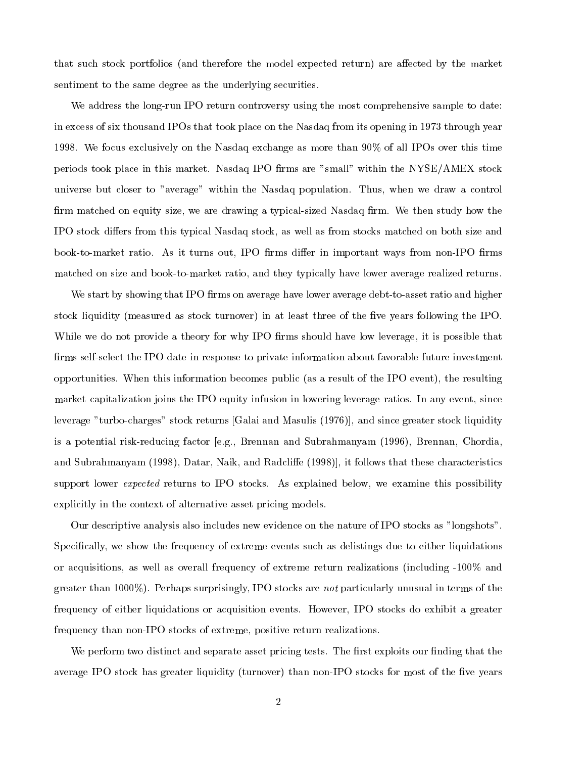that such stock portfolios (and therefore the model expected return) are affected by the market sentiment to the same degree as the underlying securities.

We address the long-run IPO return controversy using the most comprehensive sample to date: in excess of six thousand IPOs that took place on the Nasdaq from its opening in 1973 through year 1998. We focus exclusively on the Nasdaq exchange as more than 90% of all IPOs over this time periods took place in this market. Nasdaq IPO firms are "small" within the NYSE/AMEX stock universe but closer to "average" within the Nasdaq population. Thus, when we draw a control firm matched on equity size, we are drawing a typical-sized Nasdaq firm. We then study how the IPO stock differs from this typical Nasdaq stock, as well as from stocks matched on both size and book-to-market ratio. As it turns out, IPO firms differ in important ways from non-IPO firms matched on size and book-to-market ratio, and they typically have lower average realized returns.

We start by showing that IPO firms on average have lower average debt-to-asset ratio and higher stock liquidity (measured as stock turnover) in at least three of the five years following the IPO. While we do not provide a theory for why IPO firms should have low leverage, it is possible that firms self-select the IPO date in response to private information about favorable future investment opportunities. When this information becomes public (as a result of the IPO event), the resulting market capitalization joins the IPO equity infusion in lowering leverage ratios. In any event, since leverage "turbo-charges" stock returns [Galai and Masulis (1976)], and since greater stock liquidity is a potential risk-reducing factor [e.g., Brennan and Subrahmanyam (1996), Brennan, Chordia, and Subrahmanyam (1998), Datar, Naik, and Radcliffe (1998), it follows that these characteristics support lower *expected* returns to IPO stocks. As explained below, we examine this possibility explicitly in the context of alternative asset pricing models.

Our descriptive analysis also includes new evidence on the nature of IPO stocks as "longshots". Specifically, we show the frequency of extreme events such as delistings due to either liquidations or acquisitions, as well as overall frequency of extreme return realizations (including -100% and greater than  $1000\%$ ). Perhaps surprisingly, IPO stocks are not particularly unusual in terms of the frequency of either liquidations or acquisition events. However, IPO stocks do exhibit a greater frequency than non-IPO stocks of extreme, positive return realizations.

We perform two distinct and separate asset pricing tests. The first exploits our finding that the average IPO stock has greater liquidity (turnover) than non-IPO stocks for most of the five years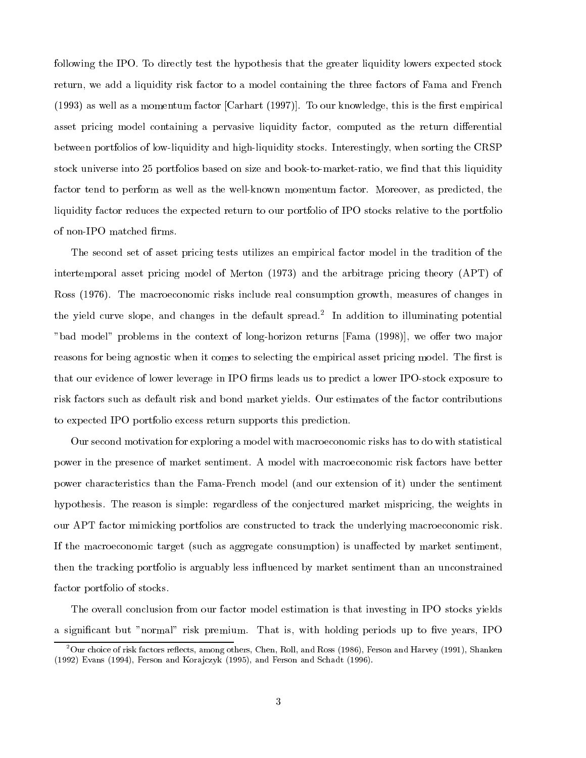following the IPO. To directly test the hypothesis that the greater liquidity lowers expected stock return, we add a liquidity risk factor to a model containing the three factors of Fama and French  $(1993)$  as well as a momentum factor [Carhart  $(1997)$ ]. To our knowledge, this is the first empirical asset pricing model containing a pervasive liquidity factor, computed as the return differential between portfolios of low-liquidity and high-liquidity stocks. Interestingly, when sorting the CRSP stock universe into 25 portfolios based on size and book-to-market-ratio, we find that this liquidity factor tend to perform as well as the well-known momentum factor. Moreover, as predicted, the liquidity factor reduces the expected return to our portfolio of IPO stocks relative to the portfolio of non-IPO matched firms.

The second set of asset pricing tests utilizes an empirical factor model in the tradition of the intertemporal asset pricing model of Merton (1973) and the arbitrage pricing theory (APT) of Ross (1976). The macroeconomic risks include real consumption growth, measures of changes in the yield curve slope, and changes in the default spread.<sup>2</sup> In addition to illuminating potential "bad model" problems in the context of long-horizon returns [Fama (1998)], we offer two major reasons for being agnostic when it comes to selecting the empirical asset pricing model. The first is that our evidence of lower leverage in IPO firms leads us to predict a lower IPO-stock exposure to risk factors such as default risk and bond market yields. Our estimates of the factor contributions to expected IPO portfolio excess return supports this prediction.

Our second motivation for exploring a model with macroeconomic risks has to do with statistical power in the presence of market sentiment. A model with macroeconomic risk factors have better power characteristics than the Fama-French model (and our extension of it) under the sentiment hypothesis. The reason is simple: regardless of the conjectured market mispricing, the weights in our APT factor mimicking portfolios are constructed to track the underlying macroeconomic risk. If the macroeconomic target (such as aggregate consumption) is unaffected by market sentiment, then the tracking portfolio is arguably less influenced by market sentiment than an unconstrained factor portfolio of stocks.

The overall conclusion from our factor model estimation is that investing in IPO stocks yields a significant but "normal" risk premium. That is, with holding periods up to five years, IPO

 $2$ Our choice of risk factors reflects, among others, Chen, Roll, and Ross (1986), Ferson and Harvey (1991), Shanken (1992) Evans (1994), Ferson and Korajczyk (1995), and Ferson and Schadt (1996).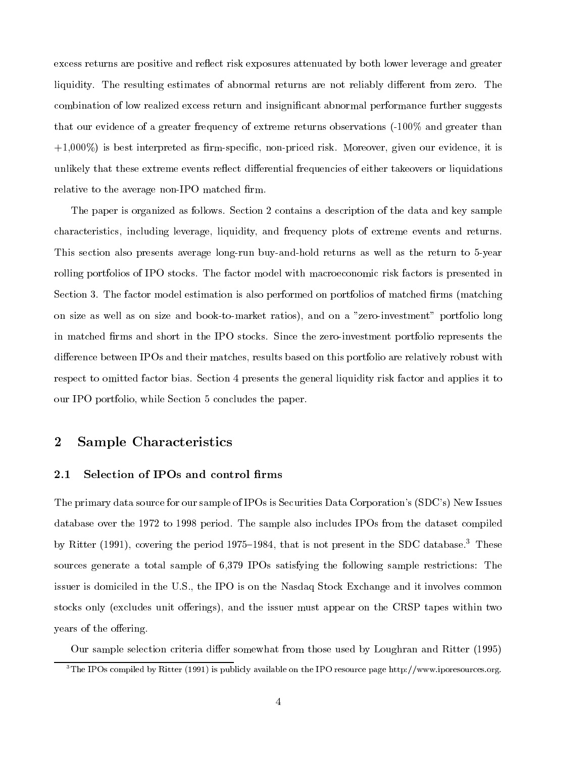excess returns are positive and reflect risk exposures attenuated by both lower leverage and greater liquidity. The resulting estimates of abnormal returns are not reliably different from zero. The combination of low realized excess return and insignicant abnormal performance further suggests that our evidence of a greater frequency of extreme returns observations (-100% and greater than  $+1,000\%$ ) is best interpreted as firm-specific, non-priced risk. Moreover, given our evidence, it is unlikely that these extreme events reflect differential frequencies of either takeovers or liquidations relative to the average non-IPO matched firm.

The paper is organized as follows. Section 2 contains a description of the data and key sample characteristics, including leverage, liquidity, and frequency plots of extreme events and returns. This section also presents average long-run buy-and-hold returns as well as the return to 5-year rolling portfolios of IPO stocks. The factor model with macroeconomic risk factors is presented in Section 3. The factor model estimation is also performed on portfolios of matched firms (matching on size as well as on size and book-to-market ratios), and on a "zero-investment" portfolio long in matched firms and short in the IPO stocks. Since the zero-investment portfolio represents the difference between IPOs and their matches, results based on this portfolio are relatively robust with respect to omitted factor bias. Section 4 presents the general liquidity risk factor and applies it to our IPO portfolio, while Section 5 concludes the paper.

### 2Sample Characteristics

#### 2.1Selection of IPOs and control firms

The primary data source for our sample of IPOs is Securities Data Corporation's (SDC's) New Issues database over the 1972 to 1998 period. The sample also includes IPOs from the dataset compiled by Ritter (1991), covering the period 1975–1984, that is not present in the SDC database.<sup>3</sup> These sources generate a total sample of 6,379 IPOs satisfying the following sample restrictions: The issuer is domiciled in the U.S., the IPO is on the Nasdaq Stock Exchange and it involves common stocks only (excludes unit offerings), and the issuer must appear on the CRSP tapes within two years of the offering.

Our sample selection criteria differ somewhat from those used by Loughran and Ritter (1995)

 $3$ The IPOs compiled by Ritter (1991) is publicly available on the IPO resource page http://www.iporesources.org.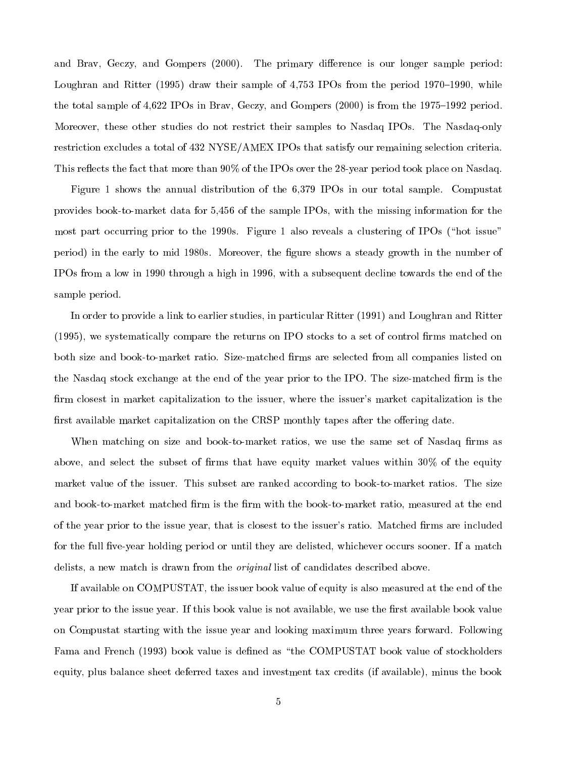and Brav, Geczy, and Gompers (2000). The primary difference is our longer sample period: Loughran and Ritter  $(1995)$  draw their sample of 4,753 IPOs from the period 1970–1990, while the total sample of  $4,622$  IPOs in Brav, Geczy, and Gompers (2000) is from the 1975–1992 period. Moreover, these other studies do not restrict their samples to Nasdaq IPOs. The Nasdaq-only restriction excludes a total of 432 NYSE/AMEX IPOs that satisfy our remaining selection criteria. This reflects the fact that more than 90% of the IPOs over the 28-year period took place on Nasdaq.

Figure 1 shows the annual distribution of the 6,379 IPOs in our total sample. Compustat provides book-to-market data for 5,456 of the sample IPOs, with the missing information for the most part occurring prior to the 1990s. Figure 1 also reveals a clustering of IPOs ("hot issue" period) in the early to mid 1980s. Moreover, the gure shows a steady growth in the number of IPOs from a low in 1990 through a high in 1996, with a subsequent decline towards the end of the sample period.

In order to provide a link to earlier studies, in particular Ritter (1991) and Loughran and Ritter (1995), we systematically compare the returns on IPO stocks to a set of control firms matched on both size and book-to-market ratio. Size-matched firms are selected from all companies listed on the Nasdaq stock exchange at the end of the year prior to the IPO. The size-matched firm is the firm closest in market capitalization to the issuer, where the issuer's market capitalization is the first available market capitalization on the CRSP monthly tapes after the offering date.

When matching on size and book-to-market ratios, we use the same set of Nasdaq firms as above, and select the subset of firms that have equity market values within  $30\%$  of the equity market value of the issuer. This subset are ranked according to book-to-market ratios. The size and book-to-market matched firm is the firm with the book-to-market ratio, measured at the end of the year prior to the issue year, that is closest to the issuer's ratio. Matched firms are included for the full five-year holding period or until they are delisted, whichever occurs sooner. If a match delists, a new match is drawn from the original list of candidates described above.

If available on COMPUSTAT, the issuer book value of equity is also measured at the end of the year prior to the issue year. If this book value is not available, we use the first available book value on Compustat starting with the issue year and looking maximum three years forward. Following Fama and French (1993) book value is defined as "the COMPUSTAT book value of stockholders equity, plus balance sheet deferred taxes and investment tax credits (if available), minus the book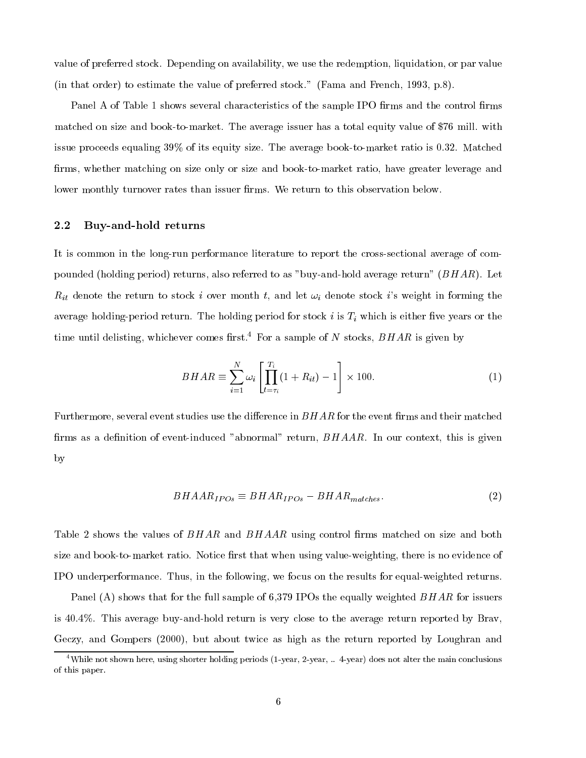value of preferred stock. Depending on availability, we use the redemption, liquidation, or par value (in that order) to estimate the value of preferred stock." (Fama and French, 1993, p.8).

Panel A of Table 1 shows several characteristics of the sample IPO firms and the control firms matched on size and book-to-market. The average issuer has a total equity value of \$76 mill. with issue proceeds equaling 39% of its equity size. The average book-to-market ratio is 0.32. Matched firms, whether matching on size only or size and book-to-market ratio, have greater leverage and lower monthly turnover rates than issuer firms. We return to this observation below.

#### 2.2Buy-and-hold returns

It is common in the long-run performance literature to report the cross-sectional average of compounded (holding period) returns, also referred to as "buy-and-hold average return"  $(BHAR)$ . Let  $R_{it}$  denote the return to stock i over month t, and let  $\omega_i$  denote stock i's weight in forming the average holding-period return. The holding period for stock i is  $T_i$  which is either five years or the time until delisting, whichever comes first.<sup>4</sup> For a sample of N stocks,  $BHAR$  is given by

$$
BHAR \equiv \sum_{i=1}^{N} \omega_i \left[ \prod_{t=\tau_i}^{T_i} (1 + R_{it}) - 1 \right] \times 100. \tag{1}
$$

Furthermore, several event studies use the difference in  $BHAR$  for the event firms and their matched firms as a definition of event-induced "abnormal" return,  $BHAAR$ . In our context, this is given by

$$
BHAAR_{IPOs} \equiv BHAR_{IPOs} - BHAR_{matches}.\tag{2}
$$

Table 2 shows the values of  $BHAR$  and  $BHAAA$  using control firms matched on size and both size and book-to-market ratio. Notice first that when using value-weighting, there is no evidence of IPO underperformance. Thus, in the following, we focus on the results for equal-weighted returns.

Panel (A) shows that for the full sample of 6,379 IPOs the equally weighted BHAR for issuers is 40.4%. This average buy-and-hold return is very close to the average return reported by Brav, Geczy, and Gompers (2000), but about twice as high as the return reported by Loughran and

<sup>&</sup>lt;sup>4</sup>While not shown here, using shorter holding periods (1-year, 2-year, .. 4-year) does not alter the main conclusions of this paper.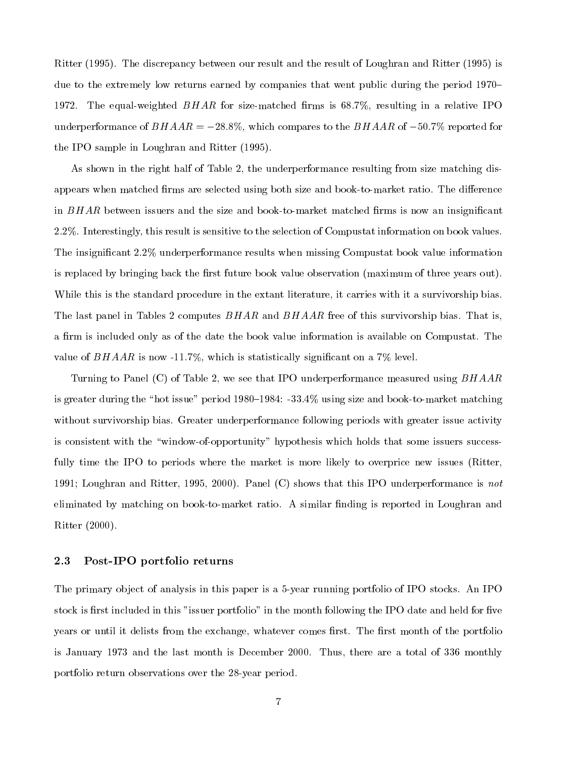Ritter (1995). The discrepancy between our result and the result of Loughran and Ritter (1995) is due to the extremely low returns earned by companies that went public during the period 1970– 1972. The equal-weighted  $BHAR$  for size-matched firms is 68.7%, resulting in a relative IPO underperformance of  $BHAAR = -28.8\%$ , which compares to the  $BHAAR$  of  $-50.7\%$  reported for the IPO sample in Loughran and Ritter (1995).

As shown in the right half of Table 2, the underperformance resulting from size matching disappears when matched firms are selected using both size and book-to-market ratio. The difference in  $BHAR$  between issuers and the size and book-to-market matched firms is now an insignificant 2.2%. Interestingly, this result is sensitive to the selection of Compustat information on book values. The insignicant 2.2% underperformance results when missing Compustat book value information is replaced by bringing back the first future book value observation (maximum of three years out). While this is the standard procedure in the extant literature, it carries with it a survivorship bias. The last panel in Tables 2 computes  $BHAR$  and  $BHAAR$  free of this survivorship bias. That is, a firm is included only as of the date the book value information is available on Compustat. The value of  $BHAAR$  is now -11.7%, which is statistically significant on a 7% level.

Turning to Panel  $(C)$  of Table 2, we see that IPO underperformance measured using  $BHAAR$ is greater during the "hot issue" period 1980–1984:  $-33.4\%$  using size and book-to-market matching without survivorship bias. Greater underperformance following periods with greater issue activity is consistent with the "window-of-opportunity" hypothesis which holds that some issuers successfully time the IPO to periods where the market is more likely to overprice new issues (Ritter, 1991; Loughran and Ritter, 1995, 2000). Panel (C) shows that this IPO underperformance is not eliminated by matching on book-to-market ratio. A similar finding is reported in Loughran and Ritter (2000).

#### 2.3Post-IPO portfolio returns

The primary object of analysis in this paper is a 5-year running portfolio of IPO stocks. An IPO stock is first included in this "issuer portfolio" in the month following the IPO date and held for five years or until it delists from the exchange, whatever comes first. The first month of the portfolio is January 1973 and the last month is December 2000. Thus, there are a total of 336 monthly portfolio return observations over the 28-year period.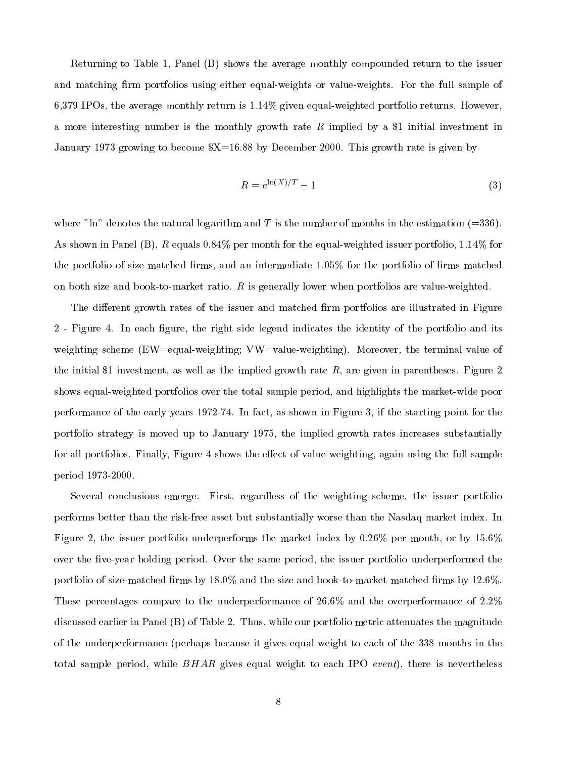Returning to Table 1, Panel (B) shows the average monthly compounded return to the issuer and matching firm portfolios using either equal-weights or value-weights. For the full sample of 6,379 IPOs, the average monthly return is 1.14% given equal-weighted portfolio returns. However, a more interesting number is the monthly growth rate R implied by a \$1 initial investment in January 1973 growing to become \$X=16.88 by December 2000. This growth rate is given by

$$
R = e^{\ln(X)/T} - 1\tag{3}
$$

where "ln" denotes the natural logarithm and T is the number of months in the estimation  $(=336)$ . As shown in Panel  $(B)$ , R equals 0.84% per month for the equal-weighted issuer portfolio, 1.14% for the portfolio of size-matched firms, and an intermediate  $1.05\%$  for the portfolio of firms matched on both size and book-to-market ratio.  $R$  is generally lower when portfolios are value-weighted.

The different growth rates of the issuer and matched firm portfolios are illustrated in Figure 2 - Figure 4. In each figure, the right side legend indicates the identity of the portfolio and its weighting scheme (EW=equal-weighting; VW=value-weighting). Moreover, the terminal value of the initial \$1 investment, as well as the implied growth rate  $R$ , are given in parentheses. Figure 2 shows equal-weighted portfolios over the total sample period, and highlights the market-wide poor performance of the early years 1972-74. In fact, as shown in Figure 3, if the starting point for the portfolio strategy is moved up to January 1975, the implied growth rates increases substantially for all portfolios. Finally, Figure 4 shows the effect of value-weighting, again using the full sample period 1973-2000.

Several conclusions emerge. First, regardless of the weighting scheme, the issuer portfolio performs better than the risk-free asset but substantially worse than the Nasdaq market index. In Figure 2, the issuer portfolio underperforms the market index by 0.26% per month, or by 15.6% over the five-year holding period. Over the same period, the issuer portfolio underperformed the portfolio of size-matched firms by  $18.0\%$  and the size and book-to-market matched firms by 12.6%. These percentages compare to the underperformance of 26.6% and the overperformance of 2.2% discussed earlier in Panel (B) of Table 2. Thus, while our portfolio metric attenuates the magnitude of the underperformance (perhaps because it gives equal weight to each of the 338 months in the total sample period, while  $BHAR$  gives equal weight to each IPO event), there is nevertheless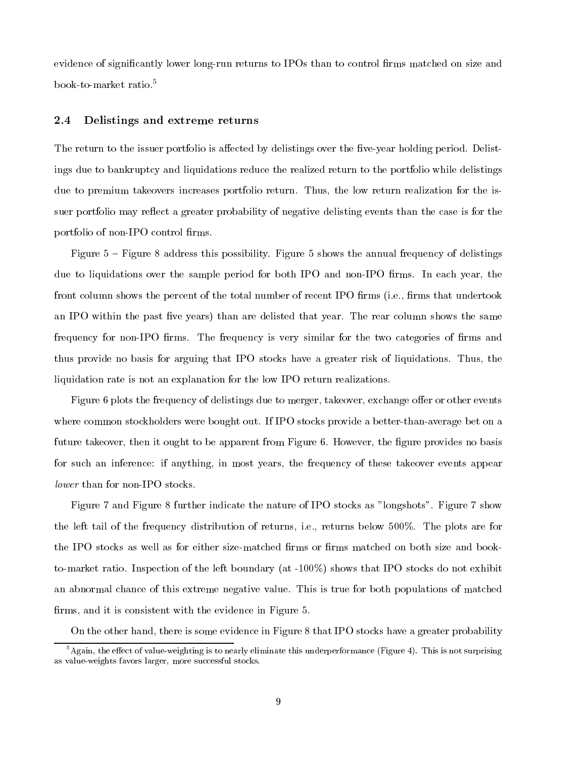evidence of significantly lower long-run returns to IPOs than to control firms matched on size and book-to-market ratio.5

#### 2.4Delistings and extreme returns

The return to the issuer portfolio is affected by delistings over the five-year holding period. Delistings due to bankruptcy and liquidations reduce the realized return to the portfolio while delistings due to premium takeovers increases portfolio return. Thus, the low return realization for the issuer portfolio may reflect a greater probability of negative delisting events than the case is for the portfolio of non-IPO control firms.

Figure  $5$  – Figure 8 address this possibility. Figure 5 shows the annual frequency of delistings due to liquidations over the sample period for both IPO and non-IPO firms. In each year, the front column shows the percent of the total number of recent IPO firms (i.e., firms that undertook an IPO within the past five years) than are delisted that year. The rear column shows the same frequency for non-IPO firms. The frequency is very similar for the two categories of firms and thus provide no basis for arguing that IPO stocks have a greater risk of liquidations. Thus, the liquidation rate is not an explanation for the low IPO return realizations.

Figure 6 plots the frequency of delistings due to merger, takeover, exchange offer or other events where common stockholders were bought out. If IPO stocks provide a better-than-average bet on a future takeover, then it ought to be apparent from Figure 6. However, the figure provides no basis for such an inference: if anything, in most years, the frequency of these takeover events appear lower than for non-IPO stocks.

Figure 7 and Figure 8 further indicate the nature of IPO stocks as "longshots". Figure 7 show the left tail of the frequency distribution of returns, i.e., returns below 500%. The plots are for the IPO stocks as well as for either size-matched firms or firms matched on both size and bookto-market ratio. Inspection of the left boundary (at -100%) shows that IPO stocks do not exhibit an abnormal chance of this extreme negative value. This is true for both populations of matched firms, and it is consistent with the evidence in Figure 5.

On the other hand, there is some evidence in Figure 8 that IPO stocks have a greater probability

 $^5$ Again, the effect of value-weighting is to nearly eliminate this underperformance (Figure 4). This is not surprising as value-weights favors larger, more successful stocks.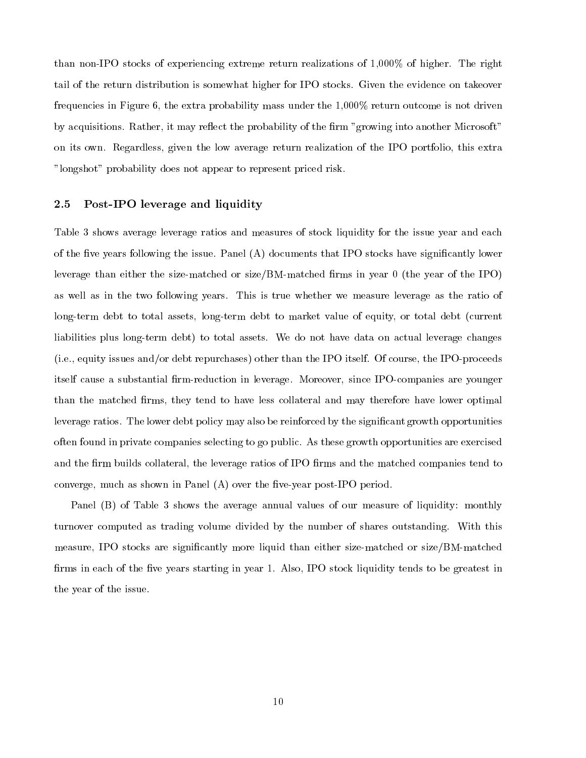than non-IPO stocks of experiencing extreme return realizations of 1,000% of higher. The right tail of the return distribution is somewhat higher for IPO stocks. Given the evidence on takeover frequencies in Figure 6, the extra probability mass under the 1,000% return outcome is not driven by acquisitions. Rather, it may reflect the probability of the firm "growing into another Microsoft" on its own. Regardless, given the low average return realization of the IPO portfolio, this extra "longshot" probability does not appear to represent priced risk.

#### 2.5Post-IPO leverage and liquidity

Table 3 shows average leverage ratios and measures of stock liquidity for the issue year and each of the five years following the issue. Panel  $(A)$  documents that IPO stocks have significantly lower leverage than either the size-matched or size/BM-matched firms in year  $0$  (the year of the IPO) as well as in the two following years. This is true whether we measure leverage as the ratio of long-term debt to total assets, long-term debt to market value of equity, or total debt (current liabilities plus long-term debt) to total assets. We do not have data on actual leverage changes (i.e., equity issues and/or debt repurchases) other than the IPO itself. Of course, the IPO-proceeds itself cause a substantial firm-reduction in leverage. Moreover, since IPO-companies are younger than the matched firms, they tend to have less collateral and may therefore have lower optimal leverage ratios. The lower debt policy may also be reinforced by the significant growth opportunities often found in private companies selecting to go public. As these growth opportunities are exercised and the firm builds collateral, the leverage ratios of IPO firms and the matched companies tend to converge, much as shown in Panel  $(A)$  over the five-year post-IPO period.

Panel (B) of Table 3 shows the average annual values of our measure of liquidity: monthly turnover computed as trading volume divided by the number of shares outstanding. With this measure, IPO stocks are signicantly more liquid than either size-matched or size/BM-matched firms in each of the five years starting in year 1. Also, IPO stock liquidity tends to be greatest in the year of the issue.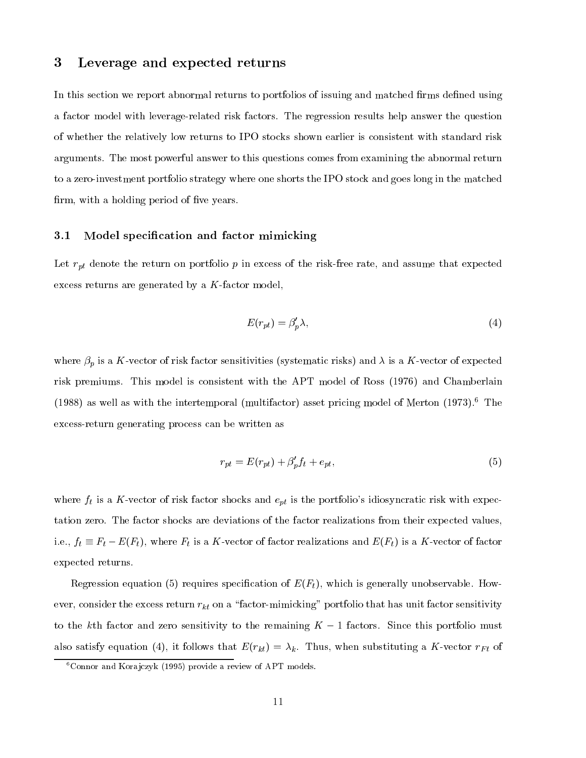### 3Leverage and expected returns

In this section we report abnormal returns to portfolios of issuing and matched firms defined using a factor model with leverage-related risk factors. The regression results help answer the question of whether the relatively low returns to IPO stocks shown earlier is consistent with standard risk arguments. The most powerful answer to this questions comes from examining the abnormal return to a zero-investment portfolio strategy where one shorts the IPO stock and goes long in the matched firm, with a holding period of five years.

#### 3.1Model specication and factor mimicking

Let  $r_{pt}$  denote the return on portfolio p in excess of the risk-free rate, and assume that expected excess returns are generated by a K-factor model,

$$
E(r_{pt}) = \beta_p' \lambda,\tag{4}
$$

where  $\beta_p$  is a K-vector of risk factor sensitivities (systematic risks) and  $\lambda$  is a K-vector of expected risk premiums. This model is consistent with the APT model of Ross (1976) and Chamberlain (1988) as well as with the intertemporal (multifactor) asset pricing model of Merton  $(1973).<sup>6</sup>$  The excess-return generating process can be written as

$$
r_{pt} = E(r_{pt}) + \beta_p' f_t + e_{pt},\tag{5}
$$

where  $f_t$  is a K-vector of risk factor shocks and  $e_{pt}$  is the portfolio's idiosyncratic risk with expectation zero. The factor shocks are deviations of the factor realizations from their expected values, i.e.,  $f_t \equiv F_t - E(F_t)$ , where  $F_t$  is a K-vector of factor realizations and  $E(F_t)$  is a K-vector of factor expected returns.

Regression equation (5) requires specification of  $E(F_t)$ , which is generally unobservable. However, consider the excess return  $r_{kt}$  on a "factor-mimicking" portfolio that has unit factor sensitivity to the kth factor and zero sensitivity to the remaining  $K - 1$  factors. Since this portfolio must also satisfy equation (4), it follows that  $E(r_{kt}) = \lambda_k$ . Thus, when substituting a K-vector  $r_{Ft}$  of

 ${}^{6}$ Connor and Korajczyk (1995) provide a review of APT models.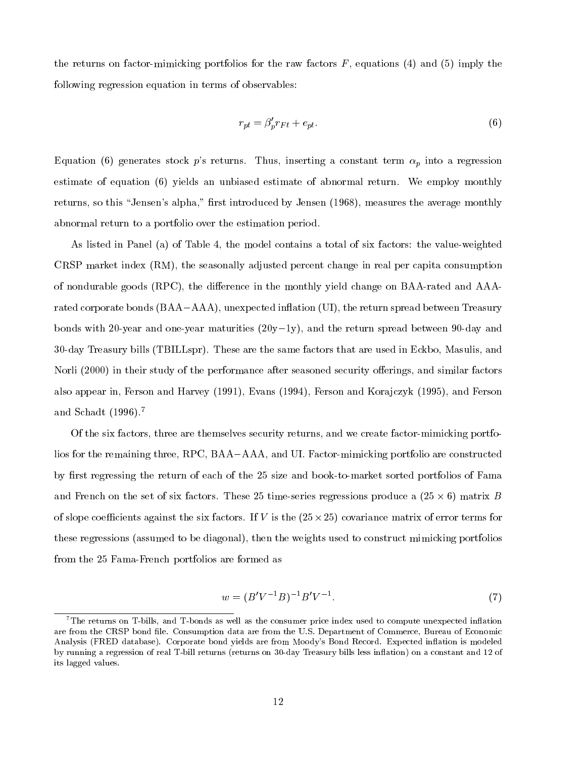the returns on factor-mimicking portfolios for the raw factors  $F$ , equations (4) and (5) imply the following regression equation in terms of observables:

$$
r_{pt} = \beta_p' r_{Ft} + e_{pt}.\tag{6}
$$

Equation (6) generates stock p's returns. Thus, inserting a constant term  $\alpha_p$  into a regression estimate of equation (6) yields an unbiased estimate of abnormal return. We employ monthly returns, so this "Jensen's alpha," first introduced by Jensen (1968), measures the average monthly abnormal return to a portfolio over the estimation period.

As listed in Panel (a) of Table 4, the model contains a total of six factors: the value-weighted CRSP market index (RM), the seasonally adjusted percent change in real per capita consumption of nondurable goods (RPC), the difference in the monthly yield change on BAA-rated and AAArated corporate bonds (BAA-AAA), unexpected inflation (UI), the return spread between Treasury bonds with 20-year and one-year maturities  $(20y-1y)$ , and the return spread between 90-day and 30-day Treasury bills (TBILLspr). These are the same factors that are used in Eckbo, Masulis, and Norli (2000) in their study of the performance after seasoned security offerings, and similar factors also appear in, Ferson and Harvey (1991), Evans (1994), Ferson and Kora jczyk (1995), and Ferson and Schadt (1996).<sup>7</sup>

Of the six factors, three are themselves security returns, and we create factor-mimicking portfolios for the remaining three,  $RPC$ ,  $BAA-AAA$ , and UI. Factor-mimicking portfolio are constructed by first regressing the return of each of the 25 size and book-to-market sorted portfolios of Fama and French on the set of six factors. These 25 time-series regressions produce a (25  $\cdot$  , ) matrix B  $$ of slope coecients against the six factors. If V is the (25-25) covariance matrix of error terms for these regressions (assumed to be diagonal), then the weights used to construct mimicking portfolios from the 25 Fama-French portfolios are formed as

$$
w = (B'V^{-1}B)^{-1}B'V^{-1}.
$$
\n(7)

 $^7\rm{The\ returns\ on}\ T\-bills,\ and\ T\-bonds\ as\ well\ as\ the\ consumer\ price\ index\ used\ to\ compute\ unexpected\ inflation$ are from the CRSP bond file. Consumption data are from the U.S. Department of Commerce, Bureau of Economic Analysis (FRED database). Corporate bond yields are from Moody's Bond Record. Expected inflation is modeled by running a regression of real T-bill returns (returns on 30-day Treasury bills less in
ation) on a constant and 12 of its lagged values.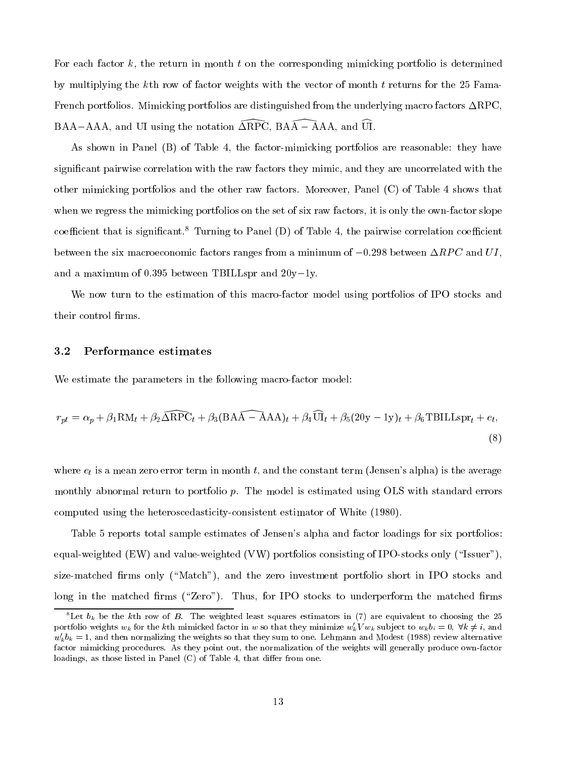For each factor  $k$ , the return in month  $t$  on the corresponding mimicking portfolio is determined by multiplying the kth row of factor weights with the vector of month t returns for the 25 Fama-French portfolios. Mimicking portfolios are distinguished from the underlying macro factors  $\Delta \text{RPC}$ , BAA-AAA, and UI using the notation  $\widehat{\triangle$ RPC, BAA $\widehat{\phantom{A}}$ -AAA, and  $\widehat{\phantom{A}}$ UI.

As shown in Panel  $(B)$  of Table 4, the factor-mimicking portfolios are reasonable: they have signicant pairwise correlation with the raw factors they mimic, and they are uncorrelated with the other mimicking portfolios and the other raw factors. Moreover, Panel (C) of Table 4 shows that when we regress the mimicking portfolios on the set of six raw factors, it is only the own-factor slope coefficient that is significant.<sup>8</sup> Turning to Panel (D) of Table 4, the pairwise correlation coefficient between the six macroeconomic factors ranges from a minimum of  $-0.298$  between  $\Delta RPC$  and UI, and a maximum of 0.395 between TBILLspr and  $20y-1y$ .

We now turn to the estimation of this macro-factor model using portfolios of IPO stocks and their control firms.

#### 3.2Performance estimates

We estimate the parameters in the following macro-factor model:

$$
r_{pt} = \alpha_p + \beta_1 \text{RM}_t + \beta_2 \widehat{\Delta \text{RPC}}_t + \beta_3 (\text{BAA} - \text{AAA})_t + \beta_4 \widehat{\text{UI}}_t + \beta_5 (20y - 1y)_t + \beta_6 \text{TBILLspr}_t + e_t,
$$
\n(8)

where  $e_t$  is a mean zero error term in month t, and the constant term (Jensen's alpha) is the average monthly abnormal return to portfolio p. The model is estimated using OLS with standard errors computed using the heteroscedasticity-consistent estimator of White (1980).

Table 5 reports total sample estimates of Jensen's alpha and factor loadings for six portfolios: equal-weighted  $(EW)$  and value-weighted  $(VW)$  portfolios consisting of IPO-stocks only ("Issuer"), size-matched firms only ("Match"), and the zero investment portfolio short in IPO stocks and long in the matched firms ("Zero"). Thus, for IPO stocks to underperform the matched firms

<sup>&</sup>lt;sup>8</sup>Let  $b_k$  be the kth row of B. The weighted least squares estimators in (7) are equivalent to choosing the 25 portfolio weights  $w_k$  for the kth mimicked factor in w so that they minimize  $w'_kV w_k$  subject to  $w_k b_i = 0$ ;  $\forall k \neq i$ , and  $w'_kb_k = 1$ , and then normalizing the weights so that they sum to one. Lehmann and Modest (1988) review alternative factor mimicking procedures. As they point out, the normalization of the weights will generally produce own-factor loadings, as those listed in Panel  $(C)$  of Table 4, that differ from one.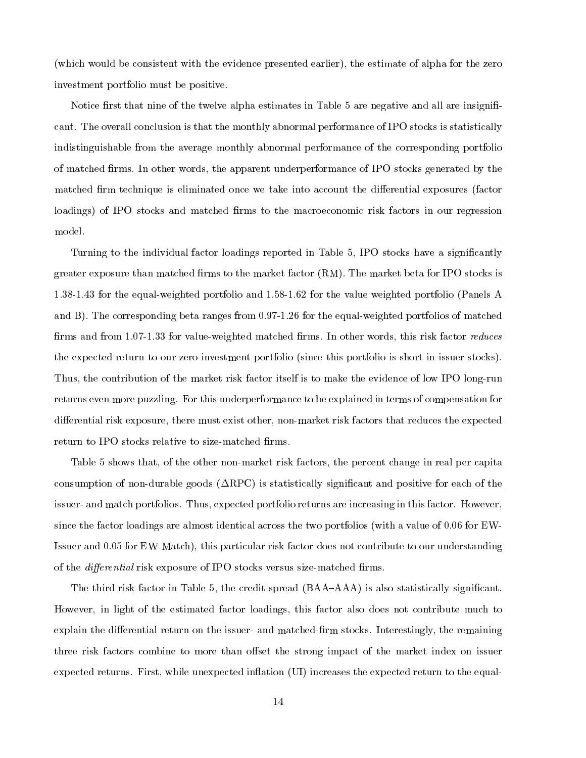(which would be consistent with the evidence presented earlier), the estimate of alpha for the zero investment portfolio must be positive.

Notice first that nine of the twelve alpha estimates in Table 5 are negative and all are insignificant. The overall conclusion is that the monthly abnormal performance of IPO stocks is statistically indistinguishable from the average monthly abnormal performance of the corresponding portfolio of matched firms. In other words, the apparent underperformance of IPO stocks generated by the matched firm technique is eliminated once we take into account the differential exposures (factor loadings) of IPO stocks and matched firms to the macroeconomic risk factors in our regression model.

Turning to the individual factor loadings reported in Table 5, IPO stocks have a significantly greater exposure than matched firms to the market factor (RM). The market beta for IPO stocks is 1.38-1.43 for the equal-weighted portfolio and 1.58-1.62 for the value weighted portfolio (Panels A and B). The corresponding beta ranges from 0.97-1.26 for the equal-weighted portfolios of matched firms and from  $1.07-1.33$  for value-weighted matched firms. In other words, this risk factor *reduces* the expected return to our zero-investment portfolio (since this portfolio is short in issuer stocks). Thus, the contribution of the market risk factor itself is to make the evidence of low IPO long-run returns even more puzzling. For this underperformance to be explained in terms of compensation for differential risk exposure, there must exist other, non-market risk factors that reduces the expected return to IPO stocks relative to size-matched firms.

Table 5 shows that, of the other non-market risk factors, the percent change in real per capita consumption of non-durable goods  $(\Delta \text{RPC})$  is statistically significant and positive for each of the issuer- and match portfolios. Thus, expected portfolio returns are increasing in this factor. However, since the factor loadings are almost identical across the two portfolios (with a value of 0.06 for EW-Issuer and 0.05 for EW-Match), this particular risk factor does not contribute to our understanding of the *differential* risk exposure of IPO stocks versus size-matched firms.

The third risk factor in Table 5, the credit spread  $(BAA-AAA)$  is also statistically significant. However, in light of the estimated factor loadings, this factor also does not contribute much to explain the differential return on the issuer- and matched-firm stocks. Interestingly, the remaining three risk factors combine to more than offset the strong impact of the market index on issuer expected returns. First, while unexpected inflation (UI) increases the expected return to the equal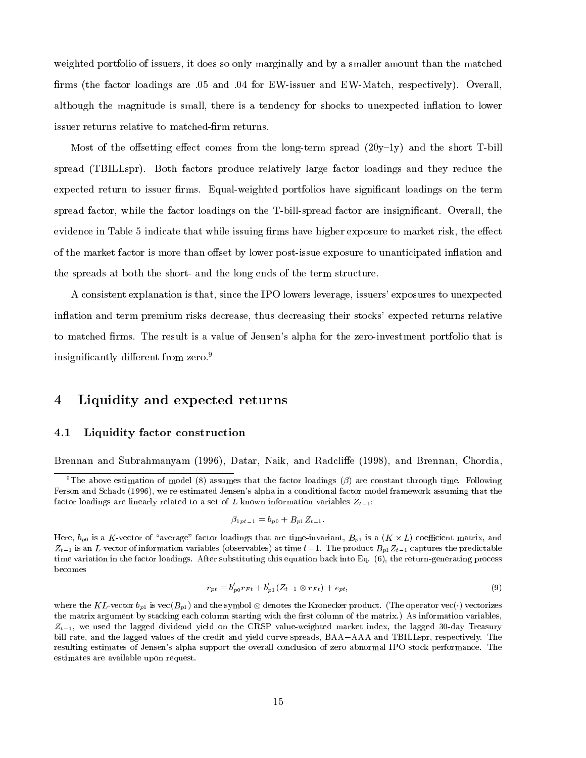weighted portfolio of issuers, it does so only marginally and by a smaller amount than the matched firms (the factor loadings are .05 and .04 for EW-issuer and EW-Match, respectively). Overall, although the magnitude is small, there is a tendency for shocks to unexpected inflation to lower issuer returns relative to matched-firm returns.

Most of the offsetting effect comes from the long-term spread  $(20y-1y)$  and the short T-bill spread (TBILLspr). Both factors produce relatively large factor loadings and they reduce the expected return to issuer firms. Equal-weighted portfolios have significant loadings on the term spread factor, while the factor loadings on the T-bill-spread factor are insignicant. Overall, the evidence in Table 5 indicate that while issuing firms have higher exposure to market risk, the effect of the market factor is more than offset by lower post-issue exposure to unanticipated inflation and the spreads at both the short- and the long ends of the term structure.

A consistent explanation is that, since the IPO lowers leverage, issuers' exposures to unexpected in
ation and term premium risks decrease, thus decreasing their stocks' expected returns relative to matched firms. The result is a value of Jensen's alpha for the zero-investment portfolio that is insignificantly different from zero.<sup>9</sup>

### 4Liquidity and expected returns

#### 4.1Liquidity factor construction

Brennan and Subrahmanyam (1996), Datar, Naik, and Radcliffe (1998), and Brennan, Chordia,

$$
\beta_{1pt-1} = b_{p0} + B_{p1} Z_{t-1}.
$$

$$
r_{pt} = b'_{p0}r_{Ft} + b'_{p1}(Z_{t-1} \otimes r_{Ft}) + e_{pt}, \qquad (9)
$$

where the KL-vector  $\alpha$  is vector  $\beta$  is vector the symbol  $\beta$  -conectorizes the operator vectorizes the conectorizes the  $\beta$  vectorizes the operator vectorizes the conectorizes the conectorizes the conectorizes the c the matrix argument by stacking each column starting with the first column of the matrix.) As information variables,  $Z_{t-1}$ , we used the lagged dividend yield on the CRSP value-weighted market index, the lagged 30-day Treasury bill rate, and the lagged values of the credit and yield curve spreads, BAA-AAA and TBILLspr, respectively. The resulting estimates of Jensen's alpha support the overall conclusion of zero abnormal IPO stock performance. The estimates are available upon request.

<sup>&</sup>lt;sup>9</sup>The above estimation of model (8) assumes that the factor loadings ( $\beta$ ) are constant through time. Following Ferson and Schadt (1996), we re-estimated Jensen's alpha in a conditional factor model framework assuming that the factor loadings are linearly related to a set of L known information variables  $Z_{t-1}$ :

if a K-vector of  $\mathcal{U}$  is a factor loading that are time-invariant, Bp1 is a coefficient matrix, and  $\mathcal{U}$  $Z_{t-1}$  is an L-vector of information variables (observables) at time  $t-1$ . The product  $B_{p1}Z_{t-1}$  captures the predictable time variation in the factor loadings. After substituting this equation back into Eq. (6), the return-generating process becomes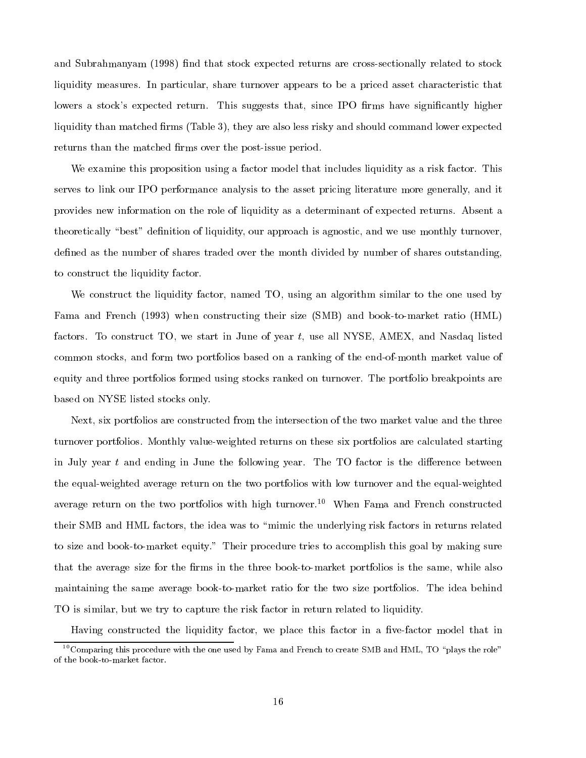and Subrahmanyam (1998) find that stock expected returns are cross-sectionally related to stock liquidity measures. In particular, share turnover appears to be a priced asset characteristic that lowers a stock's expected return. This suggests that, since IPO firms have significantly higher liquidity than matched firms (Table 3), they are also less risky and should command lower expected returns than the matched firms over the post-issue period.

We examine this proposition using a factor model that includes liquidity as a risk factor. This serves to link our IPO performance analysis to the asset pricing literature more generally, and it provides new information on the role of liquidity as a determinant of expected returns. Absent a theoretically "best" definition of liquidity, our approach is agnostic, and we use monthly turnover, defined as the number of shares traded over the month divided by number of shares outstanding, to construct the liquidity factor.

We construct the liquidity factor, named TO, using an algorithm similar to the one used by Fama and French (1993) when constructing their size (SMB) and book-to-market ratio (HML) factors. To construct TO, we start in June of year t, use all NYSE, AMEX, and Nasdaq listed common stocks, and form two portfolios based on a ranking of the end-of-month market value of equity and three portfolios formed using stocks ranked on turnover. The portfolio breakpoints are based on NYSE listed stocks only.

Next, six portfolios are constructed from the intersection of the two market value and the three turnover portfolios. Monthly value-weighted returns on these six portfolios are calculated starting in July year  $t$  and ending in June the following year. The TO factor is the difference between the equal-weighted average return on the two portfolios with low turnover and the equal-weighted average return on the two portfolios with high turnover.<sup>10</sup> When Fama and French constructed their SMB and HML factors, the idea was to \mimic the underlying risk factors in returns related to size and book-to-market equity." Their procedure tries to accomplish this goal by making sure that the average size for the firms in the three book-to-market portfolios is the same, while also maintaining the same average book-to-market ratio for the two size portfolios. The idea behind TO is similar, but we try to capture the risk factor in return related to liquidity.

Having constructed the liquidity factor, we place this factor in a five-factor model that in

 $^{10}$ Comparing this procedure with the one used by Fama and French to create SMB and HML, TO "plays the role" of the book-to-market factor.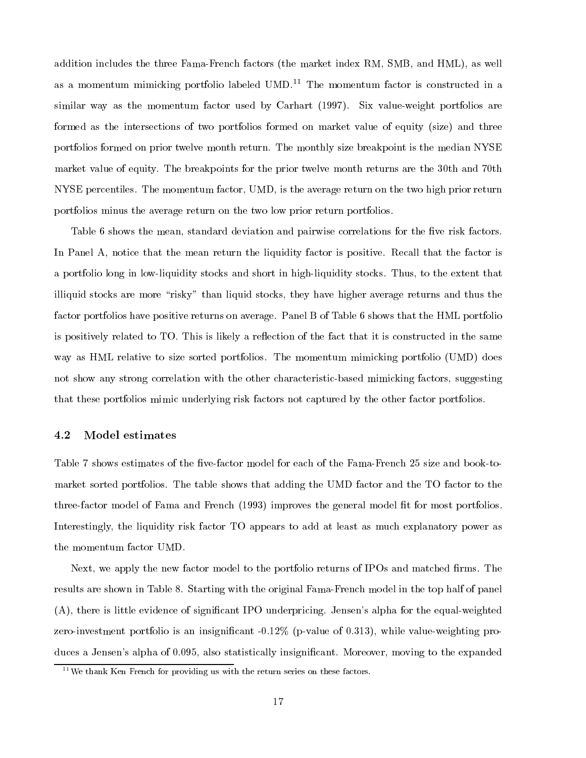addition includes the three Fama-French factors (the market index RM, SMB, and HML), as well as a momentum mimicking portfolio labeled  $UMD<sup>11</sup>$  The momentum factor is constructed in a similar way as the momentum factor used by Carhart (1997). Six value-weight portfolios are formed as the intersections of two portfolios formed on market value of equity (size) and three portfolios formed on prior twelve month return. The monthly size breakpoint is the median NYSE market value of equity. The breakpoints for the prior twelve month returns are the 30th and 70th NYSE percentiles. The momentum factor, UMD, is the average return on the two high prior return portfolios minus the average return on the two low prior return portfolios.

Table 6 shows the mean, standard deviation and pairwise correlations for the five risk factors. In Panel A, notice that the mean return the liquidity factor is positive. Recall that the factor is a portfolio long in low-liquidity stocks and short in high-liquidity stocks. Thus, to the extent that illiquid stocks are more "risky" than liquid stocks, they have higher average returns and thus the factor portfolios have positive returns on average. Panel B of Table 6 shows that the HML portfolio is positively related to TO. This is likely a reflection of the fact that it is constructed in the same way as HML relative to size sorted portfolios. The momentum mimicking portfolio (UMD) does not show any strong correlation with the other characteristic-based mimicking factors, suggesting that these portfolios mimic underlying risk factors not captured by the other factor portfolios.

#### 4.2Model estimates

Table 7 shows estimates of the five-factor model for each of the Fama-French 25 size and book-tomarket sorted portfolios. The table shows that adding the UMD factor and the TO factor to the three-factor model of Fama and French (1993) improves the general model fit for most portfolios. Interestingly, the liquidity risk factor TO appears to add at least as much explanatory power as the momentum factor UMD.

Next, we apply the new factor model to the portfolio returns of IPOs and matched firms. The results are shown in Table 8. Starting with the original Fama-French model in the top half of panel (A), there is little evidence of signicant IPO underpricing. Jensen's alpha for the equal-weighted zero-investment portfolio is an insignificant -0.12% (p-value of 0.313), while value-weighting produces a Jensen's alpha of 0.095, also statistically insignificant. Moreover, moving to the expanded

 $11$ We thank Ken French for providing us with the return series on these factors.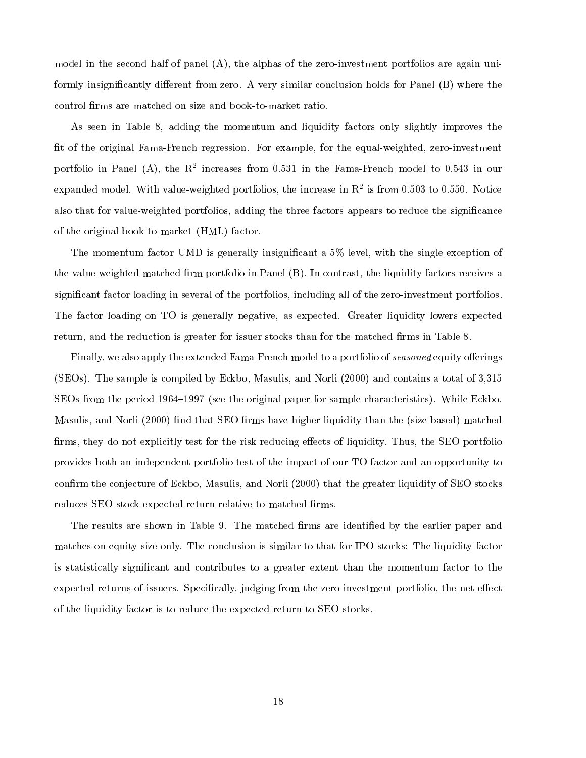model in the second half of panel (A), the alphas of the zero-investment portfolios are again uniformly insignificantly different from zero. A very similar conclusion holds for Panel  $(B)$  where the control firms are matched on size and book-to-market ratio.

As seen in Table 8, adding the momentum and liquidity factors only slightly improves the fit of the original Fama-French regression. For example, for the equal-weighted, zero-investment portfolio in Panel (A), the  $K^+$  increases from 0.531 in the Fama-French model to 0.543 in our expanded model. With value-weighted portfolios, the increase in R2 is from 0.503 to 0.550. Notice also that for value-weighted portfolios, adding the three factors appears to reduce the signicance of the original book-to-market (HML) factor.

The momentum factor UMD is generally insignificant a 5% level, with the single exception of the value-weighted matched firm portfolio in Panel (B). In contrast, the liquidity factors receives a signicant factor loading in several of the portfolios, including all of the zero-investment portfolios. The factor loading on TO is generally negative, as expected. Greater liquidity lowers expected return, and the reduction is greater for issuer stocks than for the matched firms in Table 8.

Finally, we also apply the extended Fama-French model to a portfolio of seasoned equity offerings (SEOs). The sample is compiled by Eckbo, Masulis, and Norli (2000) and contains a total of 3,315 SEOs from the period 1964–1997 (see the original paper for sample characteristics). While Eckbo, Masulis, and Norli (2000) find that SEO firms have higher liquidity than the (size-based) matched firms, they do not explicitly test for the risk reducing effects of liquidity. Thus, the SEO portfolio provides both an independent portfolio test of the impact of our TO factor and an opportunity to confirm the conjecture of Eckbo, Masulis, and Norli (2000) that the greater liquidity of SEO stocks reduces SEO stock expected return relative to matched firms.

The results are shown in Table 9. The matched firms are identified by the earlier paper and matches on equity size only. The conclusion is similar to that for IPO stocks: The liquidity factor is statistically signicant and contributes to a greater extent than the momentum factor to the expected returns of issuers. Specifically, judging from the zero-investment portfolio, the net effect of the liquidity factor is to reduce the expected return to SEO stocks.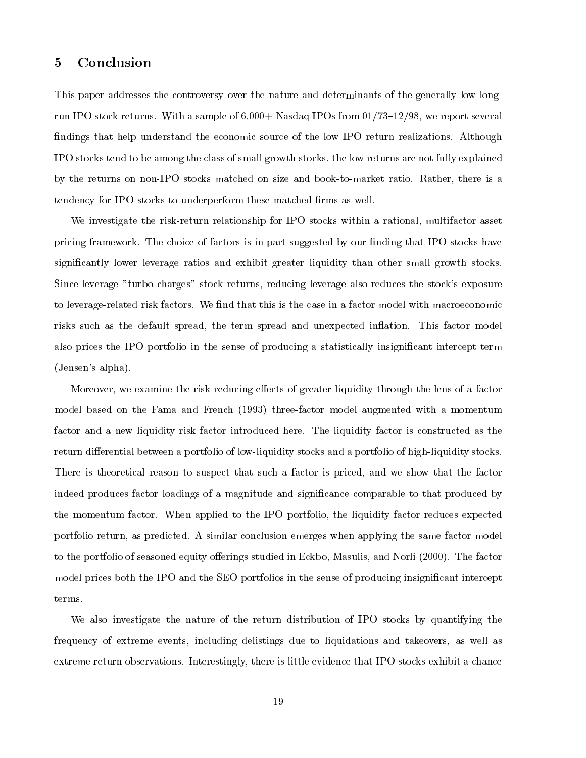#### 5Conclusion

This paper addresses the controversy over the nature and determinants of the generally low longrun IPO stock returns. With a sample of  $6,000+$  Nasdaq IPOs from  $01/73$ –12/98, we report several findings that help understand the economic source of the low IPO return realizations. Although IPO stocks tend to be among the class of small growth stocks, the low returns are not fully explained by the returns on non-IPO stocks matched on size and book-to-market ratio. Rather, there is a tendency for IPO stocks to underperform these matched firms as well.

We investigate the risk-return relationship for IPO stocks within a rational, multifactor asset pricing framework. The choice of factors is in part suggested by our finding that IPO stocks have signicantly lower leverage ratios and exhibit greater liquidity than other small growth stocks. Since leverage "turbo charges" stock returns, reducing leverage also reduces the stock's exposure to leverage-related risk factors. We find that this is the case in a factor model with macroeconomic risks such as the default spread, the term spread and unexpected inflation. This factor model also prices the IPO portfolio in the sense of producing a statistically insignicant intercept term (Jensen's alpha).

Moreover, we examine the risk-reducing effects of greater liquidity through the lens of a factor model based on the Fama and French (1993) three-factor model augmented with a momentum factor and a new liquidity risk factor introduced here. The liquidity factor is constructed asthe return differential between a portfolio of low-liquidity stocks and a portfolio of high-liquidity stocks. There is theoretical reason to suspect that such a factor is priced, and we show that the factor indeed produces factor loadings of a magnitude and signicance comparable to that produced by the momentum factor. When applied to the IPO portfolio, the liquidity factor reduces expected portfolio return, as predicted. A similar conclusion emerges when applying the same factor model to the portfolio of seasoned equity offerings studied in Eckbo, Masulis, and Norli (2000). The factor model prices both the IPO and the SEO portfolios in the sense of producing insignificant intercept terms.

We also investigate the nature of the return distribution of IPO stocks by quantifying the frequency of extreme events, including delistings due to liquidations and takeovers, as well as extreme return observations. Interestingly, there is little evidence that IPO stocks exhibit a chance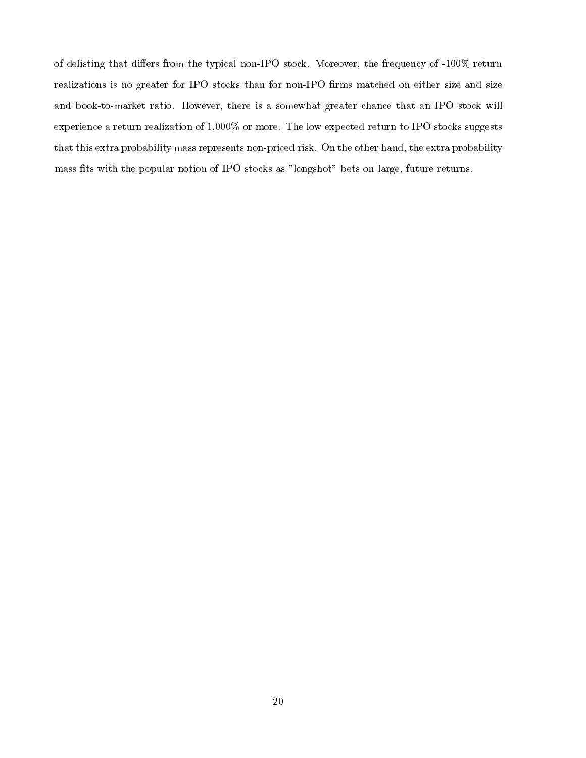of delisting that differs from the typical non-IPO stock. Moreover, the frequency of -100% return realizations is no greater for IPO stocks than for non-IPO firms matched on either size and size and book-to-market ratio. However, there is a somewhat greater chance that an IPO stock will experience a return realization of 1,000% or more. The low expected return to IPO stocks suggests that this extra probability mass represents non-priced risk. On the other hand, the extra probability mass fits with the popular notion of IPO stocks as "longshot" bets on large, future returns.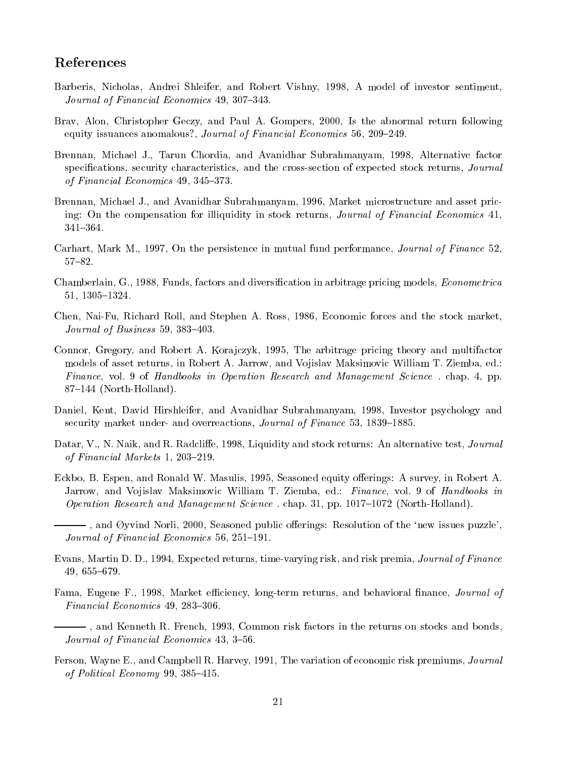# References

- Barberis, Nicholas, Andrei Shleifer, and Robert Vishny, 1998, A model of investor sentiment, Journal of Financial Economics 49, 307-343.
- Brav, Alon, Christopher Geczy, and Paul A. Gompers, 2000, Is the abnormal return following equity issuances anomalous?, *Journal of Financial Economics* 56, 209–249.
- Brennan, Michael J., Tarun Chordia, and Avanidhar Subrahmanyam, 1998, Alternative factor specifications, security characteristics, and the cross-section of expected stock returns, Journal of Financial Economics  $49, 345-373.$
- Brennan, Michael J., and Avanidhar Subrahmanyam, 1996, Market microstructure and asset pricing: On the compensation for illiquidity in stock returns, Journal of Financial Economics 41, 341-364.
- Carhart, Mark M., 1997, On the persistence in mutual fund performance, *Journal of Finance* 52, 57-82.
- Chamberlain, G., 1988, Funds, factors and diversification in arbitrage pricing models, *Econometrica* 51, 1305-1324.
- Chen, Nai-Fu, Richard Roll, and Stephen A. Ross, 1986, Economic forces and the stock market, Journal of Business 59, 383–403.
- Connor, Gregory, and Robert A. Korajczyk, 1995, The arbitrage pricing theory and multifactor models of asset returns, in Robert A. Jarrow, and Vojislav Maksimovic William T. Ziemba, ed.: Finance, vol. 9 of Handbooks in Operation Research and Management Science. chap. 4, pp. 87-144 (North-Holland).
- Daniel, Kent, David Hirshleifer, and Avanidhar Subrahmanyam, 1998, Investor psychology and security market under- and overreactions, *Journal of Finance* 53, 1839–1885.
- Datar, V., N. Naik, and R. Radcliffe, 1998, Liquidity and stock returns: An alternative test, Journal of Financial Markets 1, 203-219.
- Eckbo, B. Espen, and Ronald W. Masulis, 1995, Seasoned equity offerings: A survey, in Robert A. Jarrow, and Vojislav Maksimovic William T. Ziemba, ed.: Finance, vol. 9 of Handbooks in *Operation Research and Management Science.* chap. 31, pp. 1017-1072 (North-Holland).
- -, and Øyvind Norli, 2000, Seasoned public offerings: Resolution of the 'new issues puzzle', Journal of Financial Economics  $56, 251-191.$
- Evans, Martin D. D., 1994, Expected returns, time-varying risk, and risk premia, Journal of Finance 49, 655-679.
- Fama, Eugene F., 1998, Market efficiency, long-term returns, and behavioral finance, *Journal of* Financial Economics 49, 283-306.
	- , and Kenneth R. French, 1993, Common risk factors in the returns on stocks and bonds, Journal of Financial Economics 43, 3-56.
- Ferson, Wayne E., and Campbell R. Harvey, 1991, The variation of economic risk premiums, Journal of Political Economy 99, 385-415.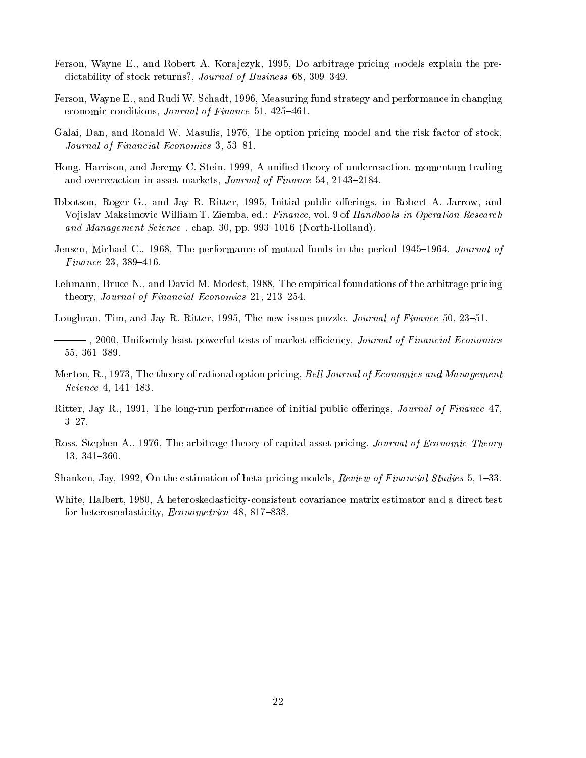- Ferson, Wayne E., and Robert A. Korajczyk, 1995, Do arbitrage pricing models explain the predictability of stock returns?, Journal of Business 68, 309-349.
- Ferson, Wayne E., and Rudi W. Schadt, 1996, Measuring fund strategy and performance in changing economic conditions, Journal of Finance 51, 425-461.
- Galai, Dan, and Ronald W. Masulis, 1976, The option pricing model and the risk factor of stock, Journal of Financial Economics 3, 53-81.
- Hong, Harrison, and Jeremy C. Stein, 1999, A unied theory of underreaction, momentum trading and overreaction in asset markets, *Journal of Finance* 54, 2143-2184.
- Ibbotson, Roger G., and Jay R. Ritter, 1995, Initial public offerings, in Robert A. Jarrow, and Vojislav Maksimovic William T. Ziemba, ed.: Finance, vol. 9 of Handbooks in Operation Research and Management Science. chap. 30, pp. 993-1016 (North-Holland).
- Jensen, Michael C., 1968, The performance of mutual funds in the period 1945–1964, *Journal of*  $Finance\ 23,\ 389\text{--}416.$
- Lehmann, Bruce N., and David M. Modest, 1988, The empirical foundations of the arbitrage pricing theory, Journal of Financial Economics 21, 213-254.

Loughran, Tim, and Jay R. Ritter, 1995, The new issues puzzle, *Journal of Finance* 50, 23–51.

- $-$ , 2000, Uniformly least powerful tests of market efficiency, Journal of Financial Economics 55, 361-389.
- Merton, R., 1973, The theory of rational option pricing, Bell Journal of Economics and Management Science 4,  $141-183$ .
- Ritter, Jay R., 1991, The long-run performance of initial public offerings, Journal of Finance 47,  $3 - 27$ .
- Ross, Stephen A., 1976, The arbitrage theory of capital asset pricing, Journal of Economic Theory 13, 341-360.
- Shanken, Jay, 1992, On the estimation of beta-pricing models, Review of Financial Studies 5, 1–33.
- White, Halbert, 1980, A heteroskedasticity-consistent covariance matrix estimator and a direct test for heteroscedasticity, *Econometrica* 48, 817-838.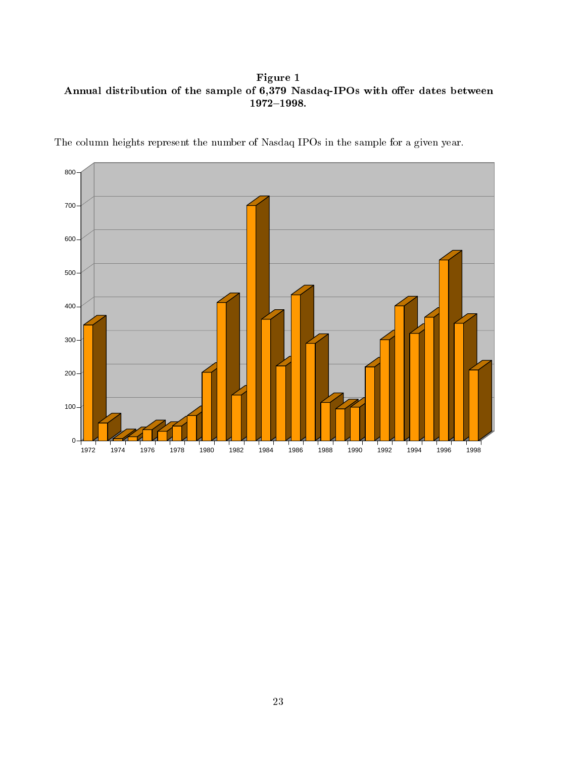Figure 1 Annual distribution of the sample of 6,379 Nasdaq-IPOs with offer dates between  $1972{-}1998.$ 

The column heights represent the number of Nasdaq IPOs in the sample for a given year.

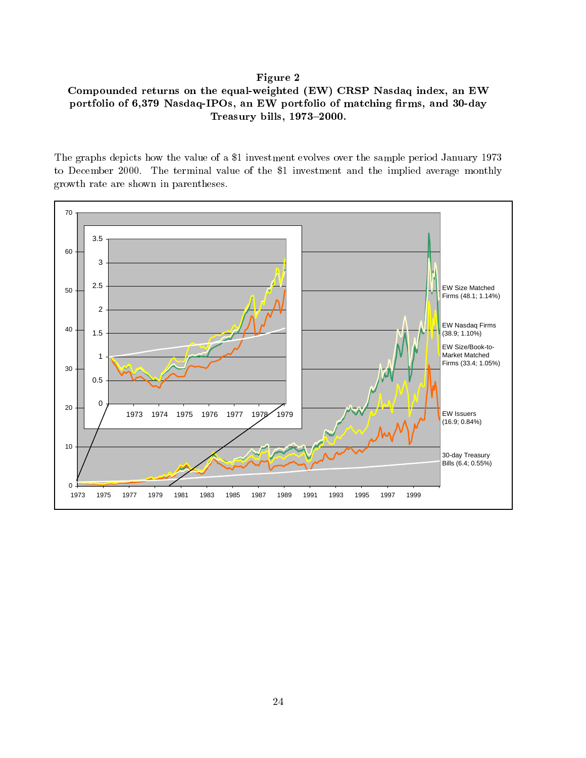## Figure 2

# Compounded returns on the equal-weighted (EW) CRSP Nasdaq index, an EW portfolio of 6,379 Nasdaq-IPOs, an EW portfolio of matching firms, and 30-day Treasury bills,  $1973-2000$ .

The graphs depicts how the value of a \$1 investment evolves over the sample period January 1973 to December 2000. The terminal value of the \$1 investment and the implied average monthly growth rate are shown in parentheses.

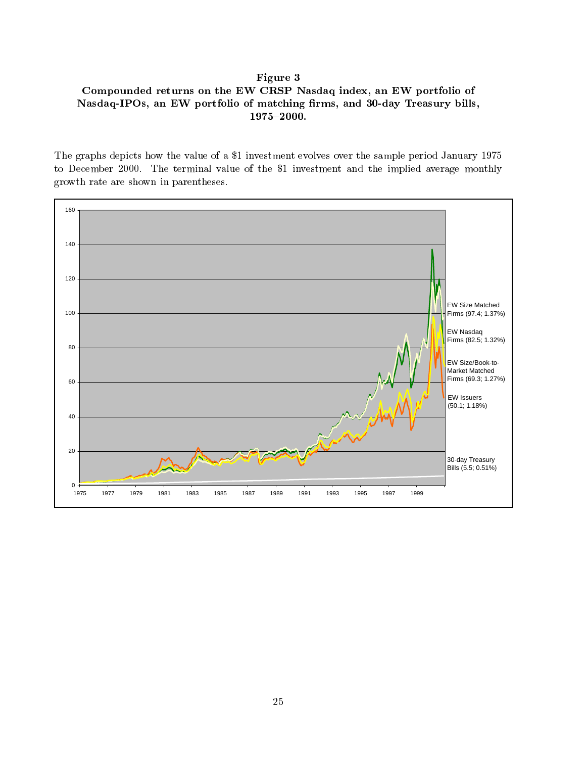# Figure 3 Compounded returns on the EW CRSP Nasdaq index, an EW portfolio of Nasdaq-IPOs, an EW portfolio of matching firms, and 30-day Treasury bills, 1975-2000.

The graphs depicts how the value of a \$1 investment evolves over the sample period January 1975 to December 2000. The terminal value of the \$1 investment and the implied average monthly growth rate are shown in parentheses.

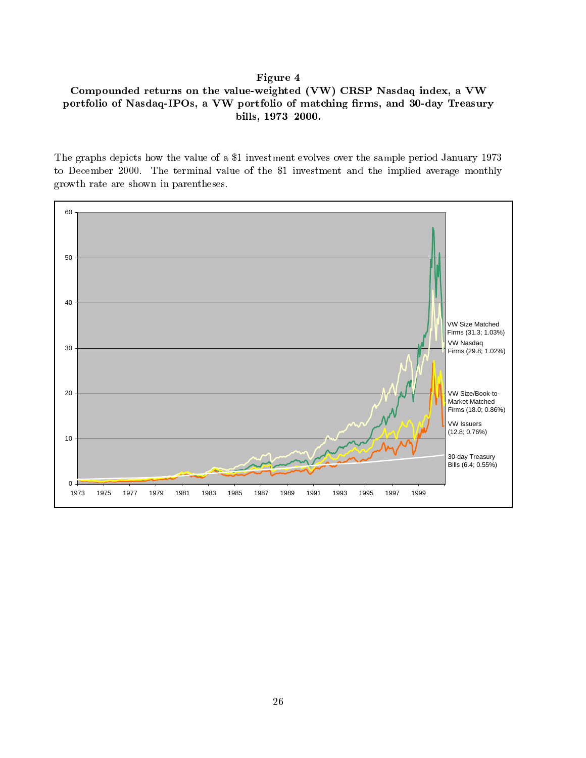# Figure 4 Compounded returns on the value-weighted (VW) CRSP Nasdaq index, a VW portfolio of Nasdaq-IPOs, a VW portfolio of matching firms, and 30-day Treasury bills, 1973-2000.

The graphs depicts how the value of a \$1 investment evolves over the sample period January 1973 to December 2000. The terminal value of the \$1 investment and the implied average monthly growth rate are shown in parentheses.

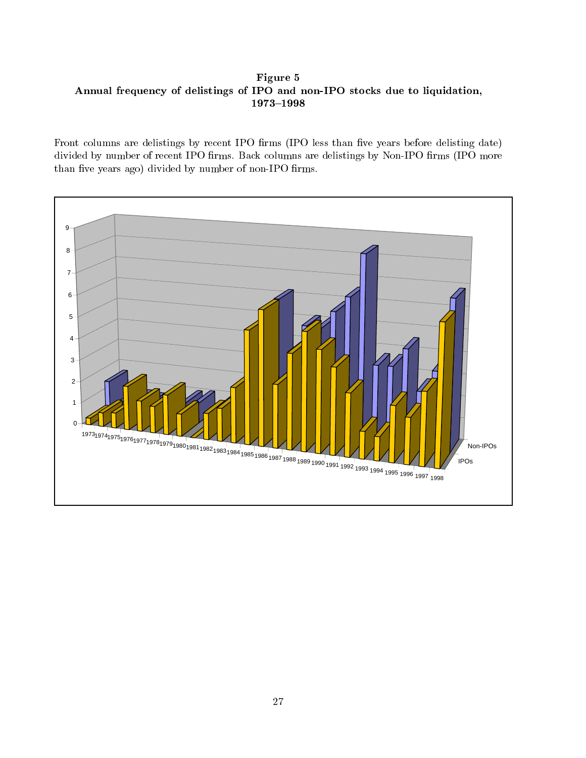Figure 5 Annual frequency of delistings of IPO and non-IPO stocks due to liquidation, 1973-1998

Front columns are delistings by recent IPO firms (IPO less than five years before delisting date) divided by number of recent IPO firms. Back columns are delistings by Non-IPO firms (IPO more than five years ago) divided by number of non-IPO firms.

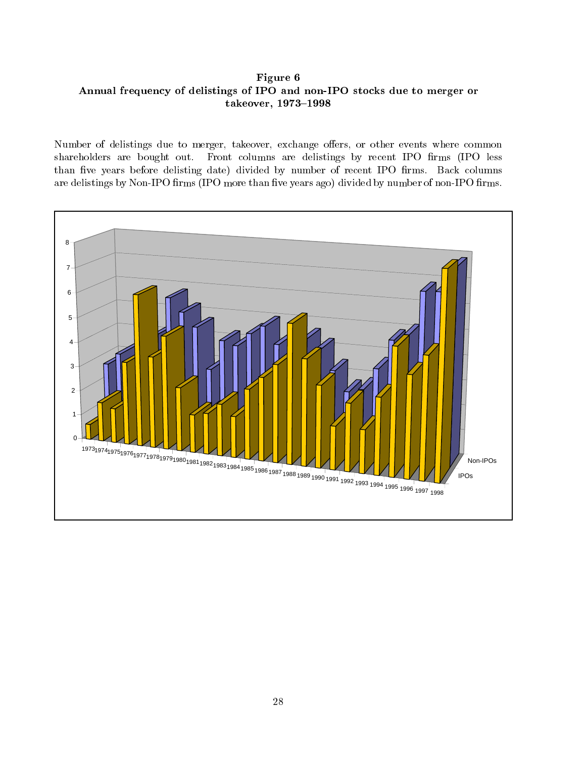Figure 6 Annual frequency of delistings of IPO and non-IPO stocks due to merger or takeover, 1973-1998

Number of delistings due to merger, takeover, exchange offers, or other events where common shareholders are bought out. Front columns are delistings by recent IPO firms (IPO less than five years before delisting date) divided by number of recent IPO firms. Back columns are delistings by Non-IPO firms (IPO more than five years ago) divided by number of non-IPO firms.

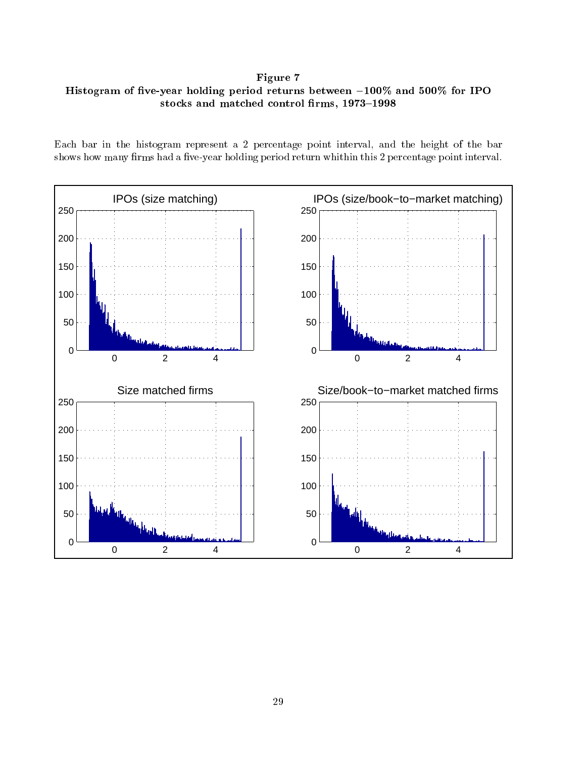Figure 7 Histogram of five-year holding period returns between  $-100\%$  and  $500\%$  for IPO stocks and matched control firms, 1973-1998

Each bar in the histogram represent a 2 percentage point interval, and the height of the bar shows how many firms had a five-year holding period return whithin this 2 percentage point interval.

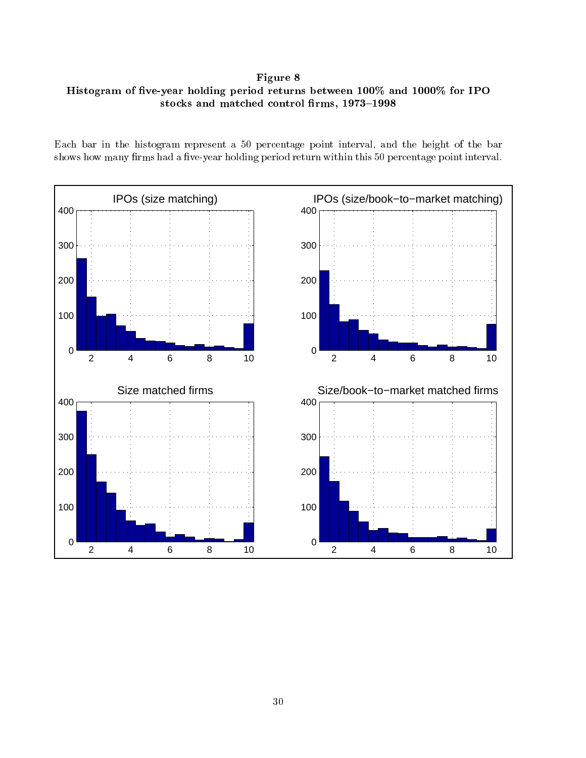Figure 8 Histogram of five-year holding period returns between  $100\%$  and  $1000\%$  for IPO stocks and matched control firms,  $1973-1998$ 

Each bar in the histogram represent a 50 percentage point interval, and the height of the bar shows how many firms had a five-year holding period return within this 50 percentage point interval.

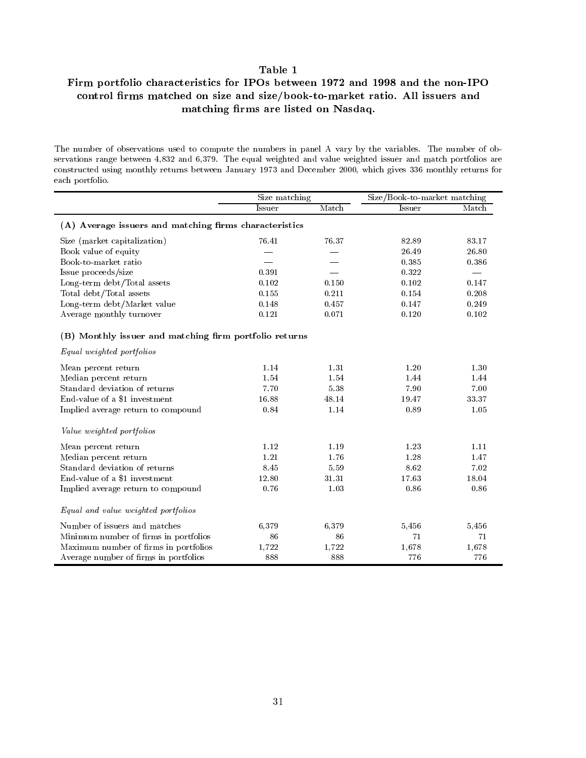# Firm portfolio characteristics for IPOs between 1972 and 1998 and the non-IPO control firms matched on size and size/book-to-market ratio. All issuers and matching firms are listed on Nasdaq.

The number of observations used to compute the numbers in panel A vary by the variables. The number of ob servations range between 4,832 and 6,379. The equal weighted and value weighted issuer and match portfolios are constructed using monthly returns between January 1973 and December 2000, which gives 336 monthly returns for each portfolio.

|                                                        | Size matching |          | Size/Book-to-market matching |       |
|--------------------------------------------------------|---------------|----------|------------------------------|-------|
|                                                        | Issuer        | Match    | Issuer                       | Match |
| (A) Average issuers and matching firms characteristics |               |          |                              |       |
| Size (market capitalization)                           | 76.41         | 76.37    | 82.89                        | 83.17 |
| Book value of equity                                   |               |          | 26.49                        | 26.80 |
| Book-to-market ratio                                   |               |          | 0.385                        | 0.386 |
| Issue proceeds/size                                    | 0.391         |          | 0.322                        |       |
| Long-term debt/Total assets                            | 0.102         | 0.150    | 0.102                        | 0.147 |
| Total debt/Total assets                                | 0.155         | 0.211    | 0.154                        | 0.208 |
| Long-term debt/Market value                            | 0.148         | 0.457    | 0.147                        | 0.249 |
| Average monthly turnover                               | 0.121         | 0.071    | 0.120                        | 0.102 |
| (B) Monthly issuer and matching firm portfolio returns |               |          |                              |       |
| Equal weighted portfolios                              |               |          |                              |       |
| Mean percent return                                    | 1.14          | 1.31     | 1.20                         | 1.30  |
| Median percent return                                  | 1.54          | 1.54     | 1.44                         | 1.44  |
| Standard deviation of returns                          | 7.70          | $5.38\,$ | 7.90                         | 7.00  |
| End-value of a \$1 investment                          | 16.88         | 48.14    | 19.47                        | 33.37 |
| Implied average return to compound                     | 0.84          | 1.14     | 0.89                         | 1.05  |
| Value weighted portfolios                              |               |          |                              |       |
| Mean percent return                                    | 1.12          | 1.19     | 1.23                         | 1.11  |
| Median percent return                                  | 1.21          | 1.76     | 1.28                         | 1.47  |
| Standard deviation of returns                          | 8.45          | 5.59     | 8.62                         | 7.02  |
| End-value of a \$1 investment                          | 12.80         | 31.31    | 17.63                        | 18.04 |
| Implied average return to compound                     | 0.76          | 1.03     | 0.86                         | 0.86  |
| Equal and value weighted portfolios                    |               |          |                              |       |
| Number of issuers and matches                          | 6,379         | 6,379    | 5,456                        | 5,456 |
| Minimum number of firms in portfolios                  | 86            | 86       | 71                           | 71    |
| Maximum number of firms in portfolios                  | 1,722         | 1,722    | 1,678                        | 1,678 |
| Average number of firms in portfolios                  | 888           | 888      | 776                          | 776   |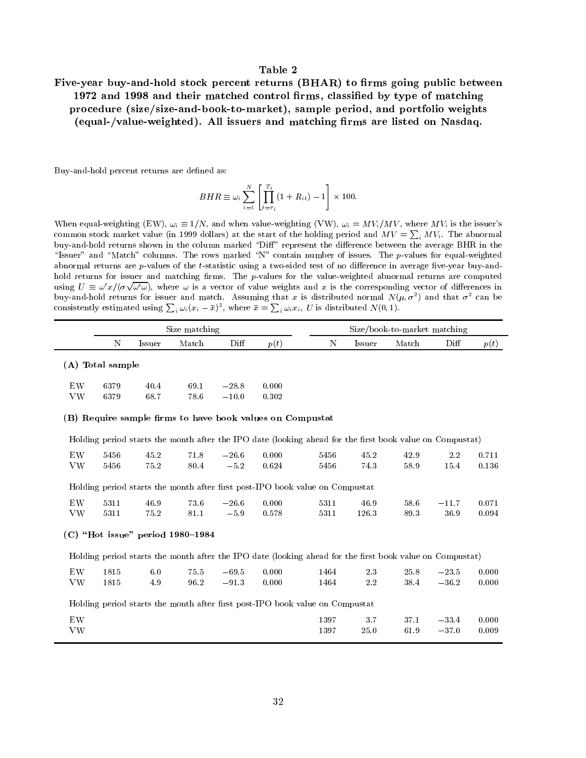# Five-year buy-and-hold stock percent returns (BHAR) to firms going public between 1972 and 1998 and their matched control firms, classified by type of matching procedure (size/size-and-book-to-market), sample period, and portfolio weights (equal-/value-weighted). All issuers and matching firms are listed on Nasdaq.

Buy-and-hold percent returns are defined as:

$$
BHR \equiv \omega_i \sum_{i=1}^{N} \left[ \prod_{t=\tau_i}^{T_i} (1 + R_{it}) - 1 \right] \times 100.
$$

When equal-weighting (EW),  $\omega_i \equiv 1/N$ , and when value-weighting (VW),  $\omega_i = MV_i/MV$ , where MV<sub>i</sub> is the issuer's common stock market value (in 1999 dollars) at the start of the holding period and  $MV = \sum_i MV_i$ . The abnormal buy-and-hold returns shown in the column marked "Diff" represent the difference between the average BHR in the "Issuer" and "Match" columns. The rows marked "N" contain number of issues. The p-values for equal-weighted abnormal returns are  $p$ -values of the  $t$ -statistic using a two-sided test of no difference in average five-year buy-andhold returns for issuer and matching firms. The p-values for the value-weighted abnormal returns are computed using  $U \equiv \omega' x/(\sigma \sqrt{\omega' \omega})$ , where  $\omega$  is a vector of value weights and x is the corresponding vector of differences in buy-and-hold returns for issuer and match. Assuming that x is distributed normal  $N(\mu, \sigma^{-})$  and that  $\sigma^{-}$  can be consistently estimated using  $\sum_i \omega_i (x_i - \bar{x})^2$ , where  $\bar{x} = \sum_i \omega_i x_i$ , U is distributed  $N(0, 1)$ .

|                  | Size matching |               |       |      |      |   | Size/book-to-market matching |       |      |      |  |
|------------------|---------------|---------------|-------|------|------|---|------------------------------|-------|------|------|--|
|                  | N             | <b>Issuer</b> | Match | Diff | p(t) | N | Issuer                       | Match | Diff | p(t) |  |
| (A) Total sample |               |               |       |      |      |   |                              |       |      |      |  |

| EW   | 6379 | 40.4 | 69.1         | $-28.8$ 0.000 |       |
|------|------|------|--------------|---------------|-------|
| VW - | 6379 | 68.7 | $78.6 -10.0$ |               | 0.302 |

### (B) Require sample firms to have book values on Compustat

| Holding period starts the month after the IPO date (looking ahead for the first book value on Compustat) |  |  |  |  |
|----------------------------------------------------------------------------------------------------------|--|--|--|--|
|----------------------------------------------------------------------------------------------------------|--|--|--|--|

| EW<br>VW        | 5456<br>5456                       | 45.2<br>75.2 | 71.8<br>80.4 | $-26.6$<br>$-5.2$ | 0.000<br>0.624 | 5456<br>5456                                                                                             | 45.2<br>74.3  | 42.9<br>58.9 | 2.2<br>15.4     | 0.711<br>0.136 |  |
|-----------------|------------------------------------|--------------|--------------|-------------------|----------------|----------------------------------------------------------------------------------------------------------|---------------|--------------|-----------------|----------------|--|
|                 |                                    |              |              |                   |                | Holding period starts the month after first post-IPO book value on Compustat                             |               |              |                 |                |  |
| EW<br><b>VW</b> | 5311<br>5311                       | 46.9<br>75.2 | 73.6<br>81.1 | $-26.6$<br>$-5.9$ | 0.000<br>0.578 | 5311<br>5311                                                                                             | 46.9<br>126.3 | 58.6<br>89.3 | $-11.7$<br>36.9 | 0.071<br>0.094 |  |
|                 | $(C)$ "Hot issue" period 1980–1984 |              |              |                   |                |                                                                                                          |               |              |                 |                |  |
|                 |                                    |              |              |                   |                | Holding period starts the month after the IPO date (looking ahead for the first book value on Compustat) |               |              |                 |                |  |
| EW              | 1815                               | 6.0          | 75.5         | $-69.5$           | 0.000          | 1464                                                                                                     | 23            | 25.8         | $-23.5$         | 0.000          |  |
| <b>VW</b>       | 1815                               | 4.9          | 96.2         | $-91.3$           | 0.000          | 1464                                                                                                     | 2.2           | 38.4         | $-36.2$         | 0.000          |  |
|                 |                                    |              |              |                   |                | Holding period starts the month after first post-IPO book value on Compustat                             |               |              |                 |                |  |
| EW              |                                    |              |              |                   |                | 1397                                                                                                     | 3.7           | 37.1         | $-33.4$         | 0.000          |  |
| VW              |                                    |              |              |                   |                | 1397                                                                                                     | 25.0          | 61.9         | $-37.0$         | 0.009          |  |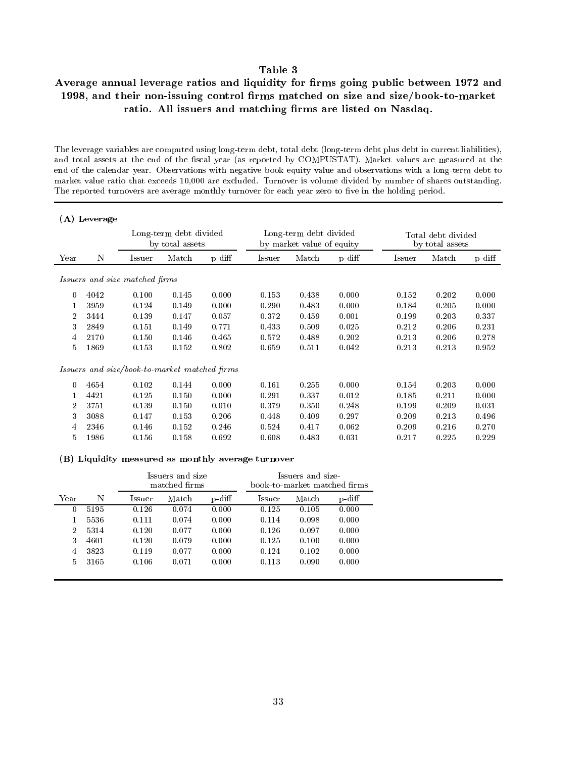# Average annual leverage ratios and liquidity for firms going public between 1972 and 1998, and their non-issuing control firms matched on size and size/book-to-market ratio. All issuers and matching firms are listed on Nasdaq.

The leverage variables are computed using long-term debt, total debt (long-term debt plus debt in current liabilities), and total assets at the end of the fiscal year (as reported by COMPUSTAT). Market values are measured at the end of the calendar year. Observations with negative book equity value and observations with a long-term debt to market value ratio that exceeds 10,000 are excluded. Turnover is volume divided by number of shares outstanding. The reported turnovers are average monthly turnover for each year zero to five in the holding period.

|                | (A) Leverage                   |                                           |                                               |           |        |                                                     |        |                                       |       |        |
|----------------|--------------------------------|-------------------------------------------|-----------------------------------------------|-----------|--------|-----------------------------------------------------|--------|---------------------------------------|-------|--------|
|                |                                | Long-term debt divided<br>by total assets |                                               |           |        | Long-term debt divided<br>by market value of equity |        | Total debt divided<br>by total assets |       |        |
| Year           | N                              | Issuer                                    | Match                                         | $p$ -diff | Issuer | Match                                               | p diff | <b>Issuer</b>                         | Match | p diff |
|                | Issuers and size matched firms |                                           |                                               |           |        |                                                     |        |                                       |       |        |
| $\Omega$       | 4042                           | 0.100                                     | 0.145                                         | 0.000     | 0.153  | 0.438                                               | 0.000  | 0.152                                 | 0.202 | 0.000  |
| 1              | 3959                           | 0.124                                     | 0.149                                         | 0.000     | 0.290  | 0.483                                               | 0.000  | 0.184                                 | 0.205 | 0.000  |
| $\overline{2}$ | 3444                           | 0.139                                     | 0.147                                         | 0.057     | 0.372  | 0.459                                               | 0.001  | 0.199                                 | 0.203 | 0.337  |
| 3              | 2849                           | 0.151                                     | 0.149                                         | 0.771     | 0.433  | 0.509                                               | 0.025  | 0.212                                 | 0.206 | 0.231  |
| 4              | 2170                           | 0.150                                     | 0.146                                         | 0.465     | 0.572  | 0.488                                               | 0.202  | 0.213                                 | 0.206 | 0.278  |
| 5.             | 1869                           | 0.153                                     | 0.152                                         | 0.802     | 0.659  | 0.511                                               | 0.042  | 0.213                                 | 0.213 | 0.952  |
|                |                                |                                           | Issuers and size/book-to-market matched firms |           |        |                                                     |        |                                       |       |        |
| $\Omega$       | 4654                           | 0.102                                     | 0.144                                         | 0.000     | 0.161  | 0.255                                               | 0.000  | 0.154                                 | 0.203 | 0.000  |
|                | 4421                           | 0.125                                     | 0.150                                         | 0.000     | 0.291  | 0.337                                               | 0.012  | 0.185                                 | 0.211 | 0.000  |
| $\overline{2}$ | 3751                           | 0.139                                     | 0.150                                         | 0.010     | 0.379  | 0.350                                               | 0.248  | 0.199                                 | 0.209 | 0.031  |
| 3              | 3088                           | 0.147                                     | 0.153                                         | 0.206     | 0.448  | 0.409                                               | 0.297  | 0.209                                 | 0.213 | 0.496  |
| 4              | 2346                           | 0.146                                     | 0.152                                         | 0.246     | 0.524  | 0.417                                               | 0.062  | 0.209                                 | 0.216 | 0.270  |
| 5              | 1986                           | 0.156                                     | 0.158                                         | 0.692     | 0.608  | 0.483                                               | 0.031  | 0.217                                 | 0.225 | 0.229  |

(B) Liquidity measured as monthly average turnover

|                |      |        | Issuers and size<br>matched firms |        | Issuers and size<br>book-to-market matched firms |       |        |  |  |
|----------------|------|--------|-----------------------------------|--------|--------------------------------------------------|-------|--------|--|--|
| Year           | N    | Issuer | Match                             | p diff | Issuer                                           | Match | p diff |  |  |
| O              | 5195 | 0.126  | 0.074                             | 0.000  | 0.125                                            | 0.105 | 0.000  |  |  |
|                | 5536 | 0.111  | 0.074                             | 0.000  | 0.114                                            | 0.098 | 0.000  |  |  |
| $\overline{2}$ | 5314 | 0.120  | 0.077                             | 0.000  | 0.126                                            | 0.097 | 0.000  |  |  |
| 3              | 4601 | 0.120  | 0.079                             | 0.000  | 0.125                                            | 0.100 | 0.000  |  |  |
| 4              | 3823 | 0.119  | 0.077                             | 0.000  | 0.124                                            | 0.102 | 0.000  |  |  |
| 5              | 3165 | 0.106  | 0.071                             | 0.000  | 0.113                                            | 0.090 | 0.000  |  |  |
|                |      |        |                                   |        |                                                  |       |        |  |  |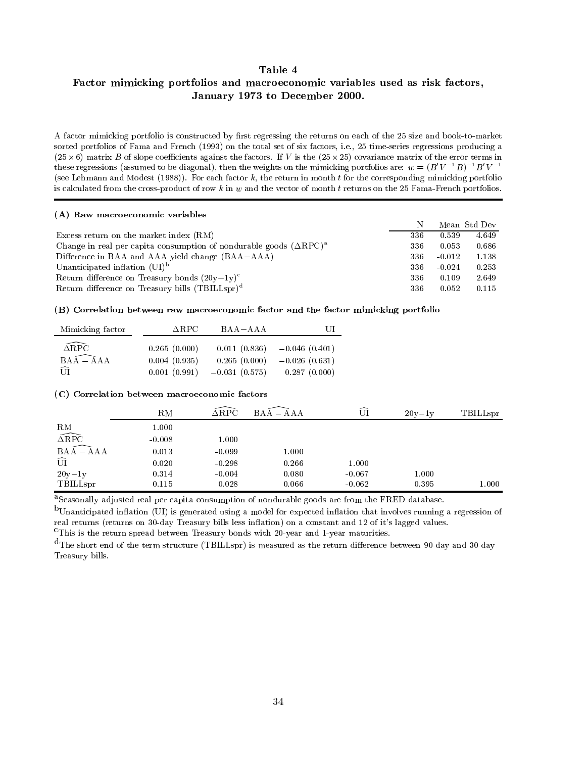## Factor mimicking portfolios and macroeconomic variables used as risk factors, January 1973 to December 2000.

A factor mimicking portfolio is constructed by first regressing the returns on each of the 25 size and book-to-market sorted portfolios of Fama and French (1993) on the total set of six factors, i.e., 25 time-series regressions producing a  $\mathcal{A}$  , and a such that for  $\mathcal{B}$  is the factors. If  $\mathcal{A}$  is the error terms in the error terms in the error terms in the error terms in the error terms in the error terms in the error terms in the error terms i these regressions (assumed to be diagonal), then the weights on the mimicking portfolios are:  $w = (B'V^{-1}B)^{-1}B'V^{-1}$ (see Lehmann and Modest  $(1988)$ ). For each factor k, the return in month t for the corresponding mimicking portfolio is calculated from the cross-product of row  $k$  in  $w$  and the vector of month  $t$  returns on the 25 Fama-French portfolios.

### (A) Raw macroeconomic variables

|                                                                                            | Ν   |          | Mean Std Dev |
|--------------------------------------------------------------------------------------------|-----|----------|--------------|
| Excess return on the market index $(RM)$                                                   | 336 | 0.539    | 4.649        |
| Change in real per capita consumption of nondurable goods $(\Delta \text{RPC})^{\text{a}}$ | 336 | 0.053    | 0.686        |
| Difference in BAA and AAA yield change (BAA–AAA)                                           | 336 | $-0.012$ | 1.138        |
| Unanticipated inflation $(UI)^b$                                                           | 336 | $-0.024$ | 0.253        |
| Return difference on Treasury bonds $(20y-1y)^c$                                           | 336 | 0.109    | 2.649        |
| Return difference on Treasury bills (TBILLspr) <sup>d</sup>                                | 336 | 0.052    | 0.115        |

### (B) Correlation between raw macroeconomic factor and the factor mimicking portfolio

| Mimicking factor         | ARPC-        | $BAA - AAA$     | UL              |
|--------------------------|--------------|-----------------|-----------------|
| $\widehat{\triangle$ RPC | 0.265(0.000) | 0.011(0.836)    | $-0.046(0.401)$ |
| $BA\widehat{A - A}AA$    | 0.004(0.935) | 0.265(0.000)    | $-0.026(0.631)$ |
| $\widehat{\text{UT}}$    | 0.001(0.991) | $-0.031(0.575)$ | 0.287(0.000)    |

### (C) Correlation between macroeconomic factors

|                               | ${\rm RM}$ | $\Delta \text{RPC}$ | BA A<br>AAA | $\widehat{\phantom{m}}$<br>UI | $20v-1v$ | TBILLspr |
|-------------------------------|------------|---------------------|-------------|-------------------------------|----------|----------|
| ${\rm RM}$                    | $1.000\,$  |                     |             |                               |          |          |
| $\widehat{\Delta \text{RPC}}$ | $-0.008$   | 1.000               |             |                               |          |          |
| $BAA - AAA$                   | 0.013      | $-0.099$            | 1.000       |                               |          |          |
| $\widehat{\mathrm{UI}}$       | 0.020      | $-0.298$            | 0.266       | 1.000                         |          |          |
| $20y-1y$                      | 0.314      | $-0.004$            | 0.080       | $-0.067$                      | 1.000    |          |
| TBILLspr                      | 0.115      | 0.028               | 0.066       | $-0.062$                      | 0.395    | 1.000    |

<sup>a</sup>Seasonally adjusted real per capita consumption of nondurable goods are from the FRED database.

 $<sup>b</sup>$ Unanticipated inflation (UI) is generated using a model for expected inflation that involves running a regression of</sup> real returns (returns on 30-day Treasury bills less inflation) on a constant and 12 of it's lagged values.

cThis is the return spread between Treasury bonds with 20-year and 1-year maturities.

 $d$ The short end of the term structure (TBILLspr) is measured as the return difference between 90-day and 30-day Treasury bills.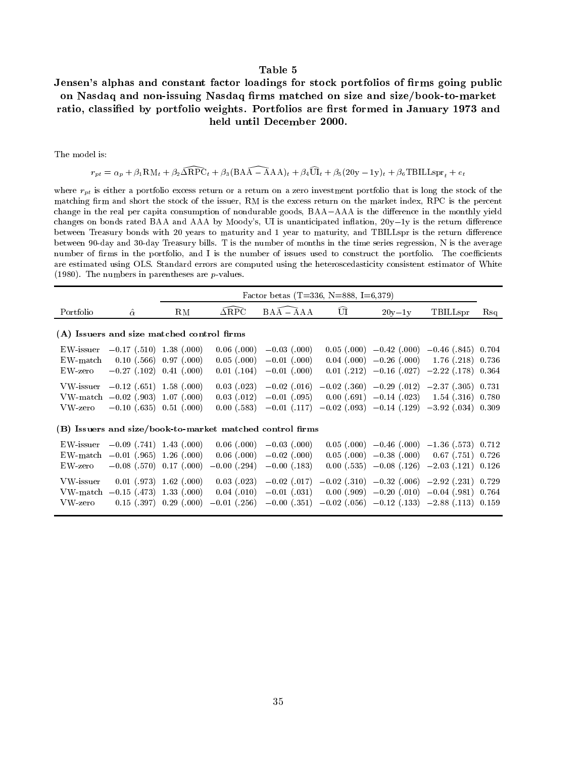# Jensen's alphas and constant factor loadings for stock portfolios of firms going public on Nasdaq and non-issuing Nasdaq firms matched on size and size/book-to-market ratio, classified by portfolio weights. Portfolios are first formed in January 1973 and held until December 2000.

The model is:

 $r_{pt} = \alpha_p + \beta_1 \text{RM}_t + \beta_2 \widehat{\Delta \text{RPC}}_t + \beta_3 (\text{BAA} - \text{AAA})_t + \beta_4 \widehat{\text{UI}}_t + \beta_5 (20y - 1y)_t + \beta_6 \text{TBILLspr}_t + e_t$ 

where  $r_{pt}$  is either a portfolio excess return or a return on a zero investment portfolio that is long the stock of the matching firm and short the stock of the issuer, RM is the excess return on the market index, RPC is the percent change in the real per capita consumption of nondurable goods, BAA-AAA is the difference in the monthly yield changes on bonds rated BAA and AAA by Moody's, UI is unanticipated inflation,  $20y-1y$  is the return difference between Treasury bonds with 20 years to maturity and 1 year to maturity, and TBILLspr is the return difference between 90-day and 30-day Treasury bills. T is the number of months in the time series regression, N is the average number of firms in the portfolio, and I is the number of issues used to construct the portfolio. The coefficients are estimated using OLS. Standard errors are computed using the heteroscedasticity consistent estimator of White (1980). The numbers in parentheses are  $p$ -values.

|                                     |                                                                         |                                            |                                                   | Factor betas (T=336, N=888, I=6,379)                      |                                                   |                                                                |                                                                                                 |                         |
|-------------------------------------|-------------------------------------------------------------------------|--------------------------------------------|---------------------------------------------------|-----------------------------------------------------------|---------------------------------------------------|----------------------------------------------------------------|-------------------------------------------------------------------------------------------------|-------------------------|
| Portfolio                           | $\hat{\alpha}$                                                          | ${\rm RM}$                                 | $\Delta \text{RPC}$                               | $BAA - AAA$                                               | UI                                                | $20v-1v$                                                       | TBILLspr                                                                                        | Rsq                     |
|                                     | (A) Issuers and size matched control firms                              |                                            |                                                   |                                                           |                                                   |                                                                |                                                                                                 |                         |
| EW-issuer<br>$EW$ -match<br>EW-zero | $-0.17$ (.510) 1.38 (.000)<br>0.10(0.566)<br>$-0.27$ (.102)             | 0.97(0.00)<br>$0.41$ (.000)                | $0.06$ (.000)<br>$0.05$ (.000)<br>$0.01$ (.104)   | $-0.03$ (.000)<br>$-0.01$ (.000)<br>$-0.01$ (.000)        | 0.05(0.000)<br>$0.04$ (.000)<br>$0.01$ (.212)     | $-0.26$ (.000)<br>$-0.16$ (.027)                               | $-0.42$ (.000) $-0.46$ (.845)<br>1.76(0.218)<br>$-2.22$ (.178)                                  | 0.704<br>0.736<br>0.364 |
| VW-issuer<br>VW-zero                | $-0.12$ (.651) 1.58 (.000)<br>$VW-match -0.02$ (.903)<br>$-0.10$ (.635) | 1.07(0.000)<br>$0.51$ (.000)               | $0.03$ $(.023)$<br>$0.03$ (.012)<br>$0.00$ (.583) | $-0.02$ (.016)<br>$-0.01$ (.095)<br>$-0.01$ (.117)        | 0.00(.691)<br>$-0.02$ (.093)                      | $-0.02$ (.360) $-0.29$ (.012) $-2.37$ (.305)<br>$-0.14$ (.023) | $1.54$ (.316)<br>$-0.14$ (.129) $-3.92$ (.034)                                                  | 0.731<br>0.780<br>0.309 |
|                                     |                                                                         |                                            |                                                   | (B) Issuers and size/book-to-market matched control firms |                                                   |                                                                |                                                                                                 |                         |
| EW-issuer<br>$EW$ -zero             | $-0.09$ (.741) 1.43 (.000)<br>EW-match $-0.01$ (.965)<br>$-0.08$ (.570) | 1.26(0.000)<br>0.17(0.00)                  | $0.06$ (.000)<br>$0.06$ (.000)<br>$-0.00$ (.294)  | $-0.03$ (.000)<br>$-0.02$ (.000)<br>$-0.00$ (.183)        | 0.05(0.000)<br>$0.05$ (.000)<br>0.00(0.535)       | $-0.38$ (.000)                                                 | $-0.46$ (.000) $-1.36$ (.573) 0.712<br>$0.67$ (.751)<br>$-0.08$ (.126) $-2.03$ (.121)           | 0.726<br>0.126          |
| VW-issuer<br>VW-zero                | 0.01(0.973)<br>VW-match $-0.15$ (.473)<br>$0.15$ (.397)                 | $1.62$ (.000)<br>1.33(0.00)<br>0.29(0.000) | $0.03$ (.023)<br>$0.04$ (.010)<br>$-0.01$ (.256)  | $-0.02$ (.017)<br>$-0.01$ (.031)<br>$-0.00$ (.351)        | $-0.02$ (.310)<br>$0.00$ (.909)<br>$-0.02$ (.056) |                                                                | $-0.32$ (.006) $-2.92$ (.231)<br>$-0.20$ (.010) $-0.04$ (.981)<br>$-0.12$ (.133) $-2.88$ (.113) | 0.729<br>0.764<br>0.159 |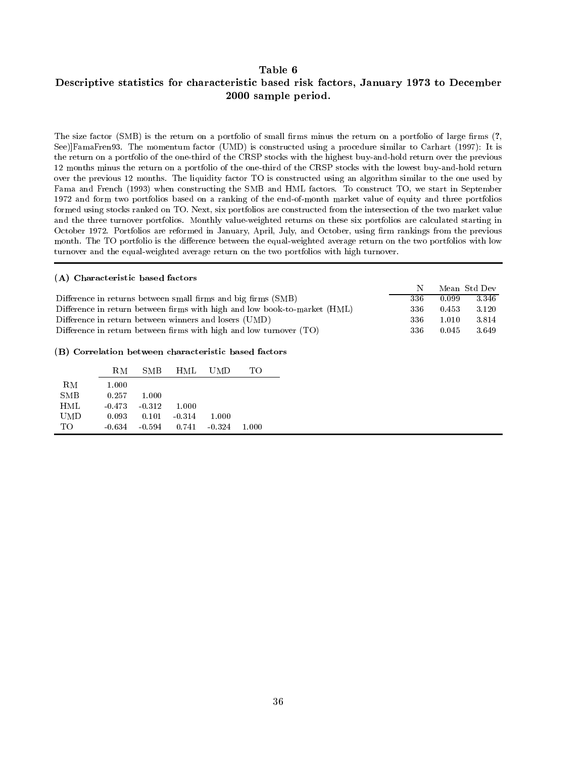## Descriptive statistics for characteristic based risk factors, January 1973 to December 2000 sample period.

The size factor (SMB) is the return on a portfolio of small firms minus the return on a portfolio of large firms  $(?,$ See)]FamaFren93. The momentum factor (UMD) is constructed using a procedure similar to Carhart (1997): It is the return on a portfolio of the one-third of the CRSP stocks with the highest buy-and-hold return over the previous 12 months minus the return on a portfolio of the one-third of the CRSP stocks with the lowest buy-and-hold return over the previous 12 months. The liquidity factor TO is constructed using an algorithm similar to the one used by Fama and French (1993) when constructing the SMB and HML factors. To construct TO, we start in September 1972 and form two portfolios based on a ranking of the end-of-month market value of equity and three portfolios formed using stocks ranked on TO. Next, six portfolios are constructed from the intersection of the two market value and the three turnover portfolios. Monthly value-weighted returns on these six portfolios are calculated starting in October 1972. Portfolios are reformed in January, April, July, and October, using firm rankings from the previous month. The TO portfolio is the difference between the equal-weighted average return on the two portfolios with low turnover and the equal-weighted average return on the two portfolios with high turnover.

### (A) Characteristic based factors

|                                                                    |                                                                           |          |          |            |       |  |  |     | N     | Mean Std Dev |       |
|--------------------------------------------------------------------|---------------------------------------------------------------------------|----------|----------|------------|-------|--|--|-----|-------|--------------|-------|
|                                                                    | Difference in returns between small firms and big firms (SMB)             |          |          |            |       |  |  |     | 336   | 0.099        | 3.346 |
|                                                                    | Difference in return between firms with high and low book-to-market (HML) |          |          |            |       |  |  |     | 336   | 0.453        | 3.120 |
|                                                                    | Difference in return between winners and losers (UMD)                     |          |          |            |       |  |  |     | 336   | 1.010        | 3.814 |
| Difference in return between firms with high and low turnover (TO) |                                                                           |          |          |            |       |  |  | 336 | 0.045 | 3.649        |       |
|                                                                    | RM                                                                        | SMB      | HML      | <b>UMD</b> | TO    |  |  |     |       |              |       |
|                                                                    |                                                                           |          |          |            |       |  |  |     |       |              |       |
| ${\rm RM}$                                                         | 1.000                                                                     |          |          |            |       |  |  |     |       |              |       |
| SMB                                                                | 0.257                                                                     | 1.000    |          |            |       |  |  |     |       |              |       |
| HML                                                                | $-0.473$                                                                  | $-0.312$ | 1.000    |            |       |  |  |     |       |              |       |
| <b>UMD</b>                                                         | 0.093                                                                     | 0.101    | $-0.314$ | 1.000      |       |  |  |     |       |              |       |
| TO                                                                 | $-0.634$                                                                  | $-0.594$ | 0.741    | $-0.324$   | 1.000 |  |  |     |       |              |       |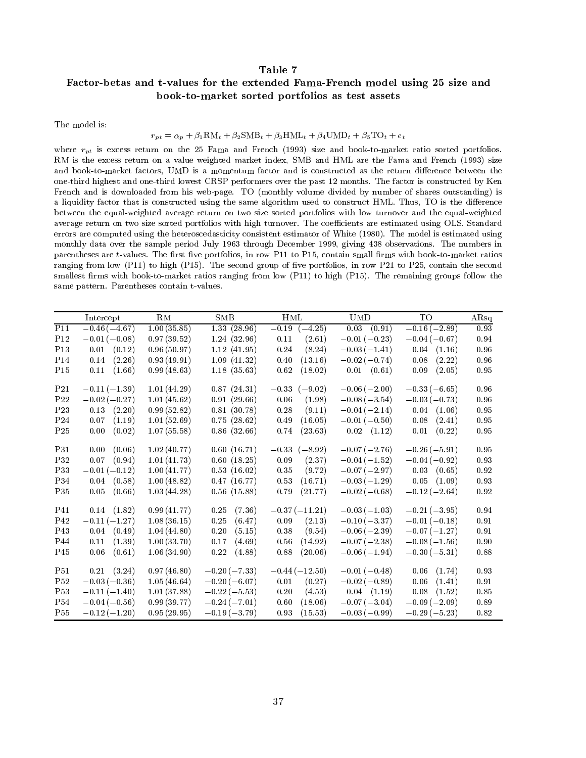## Factor-betas and t-values for the extended Fama-French model using 25 size and book-to-market sorted portfolios as test assets

The model is:

### $r_{pt} = \alpha_p + \beta_1 \text{RM}_t + \beta_2 \text{SMB}_t + \beta_3 \text{HML}_t + \beta_4 \text{UMD}_t + \beta_5 \text{TO}_t + e_t$

where  $r_{pt}$  is excess return on the 25 Fama and French (1993) size and book-to-market ratio sorted portfolios. RM is the excess return on a value weighted market index, SMB and HML are the Fama and French (1993) size and book-to-market factors, UMD is a momentum factor and is constructed as the return difference between the one-third highest and one-third lowest CRSP performers over the past 12 months. The factor is constructed by Ken French and is downloaded from his web-page. TO (monthly volume divided by number of shares outstanding) is a liquidity factor that is constructed using the same algorithm used to construct HML. Thus, TO is the difference between the equal-weighted average return on two size sorted portfolios with low turnover and the equal-weighted average return on two size sorted portfolios with high turnover. The coefficients are estimated using OLS. Standard errors are computed using the heteroscedasticity consistent estimator of White (1980). The model is estimated using monthly data over the sample period July 1963 through December 1999, giving 438 observations. The numbers in parentheses are t-values. The first five portfolios, in row P11 to P15, contain small firms with book-to-market ratios ranging from low  $(P11)$  to high  $(P15)$ . The second group of five portfolios, in row P21 to P25, contain the second smallest firms with book-to-market ratios ranging from low (P11) to high (P15). The remaining groups follow the same pattern. Parentheses contain t-values.

|                 | Intercept       | RM          | SMB            | $\operatorname{HML}$ | <b>UMD</b>      | TO              | ARsq       |
|-----------------|-----------------|-------------|----------------|----------------------|-----------------|-----------------|------------|
| P11             | $-0.46(-4.67)$  | 1.00(35.85) | 1.33(28.96)    | $-0.19$ $(-4.25)$    | $0.03$ $(0.91)$ | $-0.16(-2.89)$  | 0.93       |
| $\rm P12$       | $-0.01(-0.08)$  | 0.97(39.52) | 1.24(32.96)    | 0.11<br>(2.61)       | $-0.01(-0.23)$  | $-0.04(-0.67)$  | $\rm 0.94$ |
| P <sub>13</sub> | $0.01$ $(0.12)$ | 0.96(50.97) | 1.12(41.95)    | 0.24<br>(8.24)       | $-0.03(-1.41)$  | $0.04$ $(1.16)$ | 0.96       |
| P <sub>14</sub> | 0.14<br>(2.26)  | 0.93(49.91) | 1.09(41.32)    | 0.40<br>(13.16)      | $-0.02(-0.74)$  | 0.08<br>(2.22)  | 0.96       |
| P <sub>15</sub> | 0.11<br>(1.66)  | 0.99(48.63) | 1.18(35.63)    | 0.62<br>(18.02)      | $0.01$ $(0.61)$ | 0.09<br>(2.05)  | $\rm 0.95$ |
| P <sub>21</sub> | $-0.11(-1.39)$  | 1.01(44.29) | 0.87(24.31)    | $-0.33$ $(-9.02)$    | $-0.06(-2.00)$  | $-0.33(-6.65)$  | 0.96       |
| P22             | $-0.02(-0.27)$  | 1.01(45.62) | 0.91(29.66)    | 0.06<br>(1.98)       | $-0.08(-3.54)$  | $-0.03(-0.73)$  | 0.96       |
| P <sub>23</sub> | $0.13$ $(2.20)$ | 0.99(52.82) | 0.81(30.78)    | 0.28<br>(9.11)       | $-0.04(-2.14)$  | $0.04$ $(1.06)$ | 0.95       |
| P <sub>24</sub> | 0.07<br>(1.19)  | 1.01(52.69) | 0.75(28.62)    | 0.49<br>(16.05)      | $-0.01(-0.50)$  | 0.08<br>(2.41)  | 0.95       |
| P <sub>25</sub> | 0.00<br>(0.02)  | 1.07(55.58) | 0.86(32.66)    | (23.63)<br>0.74      | $0.02$ $(1.12)$ | (0.22)<br>0.01  | $\rm 0.95$ |
| <b>P31</b>      | (0.06)<br>0.00  | 1.02(40.77) | 0.60(16.71)    | $-0.33$ $(-8.92)$    | $-0.07(-2.76)$  | $-0.26(-5.91)$  | 0.95       |
| P32             | 0.07<br>(0.94)  | 1.01(41.73) | 0.60(18.25)    | 0.09<br>(2.37)       | $-0.04(-1.52)$  | $-0.04(-0.92)$  | 0.93       |
| P33             | $-0.01(-0.12)$  | 1.00(41.77) | 0.53(16.02)    | 0.35<br>(9.72)       | $-0.07(-2.97)$  | $0.03$ $(0.65)$ | 0.92       |
| P34             | $0.04$ $(0.58)$ | 1.00(48.82) | 0.47(16.77)    | 0.53<br>(16.71)      | $-0.03(-1.29)$  | $0.05$ $(1.09)$ | 0.93       |
| P35             | 0.05<br>(0.66)  | 1.03(44.28) | 0.56(15.88)    | 0.79<br>(21.77)      | $-0.02(-0.68)$  | $-0.12(-2.64)$  | $\rm 0.92$ |
| P41             | $0.14$ $(1.82)$ | 0.99(41.77) | 0.25<br>(7.36) | $-0.37(-11.21)$      | $-0.03(-1.03)$  | $-0.21(-3.95)$  | 0.94       |
| $\rm P42$       | $-0.11(-1.27)$  | 1.08(36.15) | 0.25<br>(6.47) | 0.09<br>(2.13)       | $-0.10(-3.37)$  | $-0.01(-0.18)$  | 0.91       |
| P <sub>43</sub> | $0.04$ $(0.49)$ | 1.04(44.80) | 0.20<br>(5.15) | (9.54)<br>0.38       | $-0.06(-2.39)$  | $-0.07(-1.27)$  | 0.91       |
| P44             | 0.11(1.39)      | 1.00(33.70) | 0.17<br>(4.69) | 0.56<br>(14.92)      | $-0.07(-2.38)$  | $-0.08(-1.56)$  | 0.90       |
| P <sub>45</sub> | 0.06<br>(0.61)  | 1.06(34.90) | 0.22<br>(4.88) | 0.88<br>(20.06)      | $-0.06(-1.94)$  | $-0.30(-5.31)$  | $0.88\,$   |
| P51             | $0.21$ $(3.24)$ | 0.97(46.80) | $-0.20(-7.33)$ | $-0.44(-12.50)$      | $-0.01(-0.48)$  | $0.06$ $(1.74)$ | 0.93       |
| P <sub>52</sub> | $-0.03(-0.36)$  | 1.05(46.64) | $-0.20(-6.07)$ | 0.01<br>(0.27)       | $-0.02(-0.89)$  | 0.06<br>(1.41)  | 0.91       |
| P53             | $-0.11(-1.40)$  | 1.01(37.88) | $-0.22(-5.53)$ | $0.20\,$<br>(4.53)   | $0.04$ $(1.19)$ | 0.08<br>(1.52)  | $0.85\,$   |
| <b>P54</b>      | $-0.04(-0.56)$  | 0.99(39.77) | $-0.24(-7.01)$ | 0.60<br>(18.06)      | $-0.07(-3.04)$  | $-0.09(-2.09)$  | 0.89       |
| P <sub>55</sub> | $-0.12(-1.20)$  | 0.95(29.95) | $-0.19(-3.79)$ | (15.53)<br>0.93      | $-0.03(-0.99)$  | $-0.29(-5.23)$  | $0.82\,$   |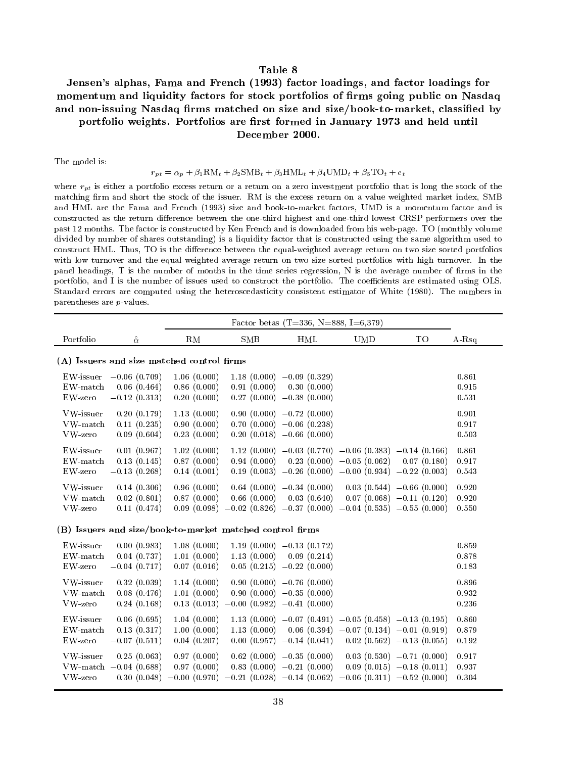# Jensen's alphas, Fama and French (1993) factor loadings, and factor loadings for momentum and liquidity factors for stock portfolios of firms going public on Nasdaq and non-issuing Nasdaq firms matched on size and size/book-to-market, classified by portfolio weights. Portfolios are first formed in January 1973 and held until December 2000.

The model is:

### $r_{pt} = \alpha_p + \beta_1 \text{RM}_t + \beta_2 \text{SMB}_t + \beta_3 \text{HML}_t + \beta_4 \text{UMD}_t + \beta_5 \text{TO}_t + e_t$

where  $r_{pt}$  is either a portfolio excess return or a return on a zero investment portfolio that is long the stock of the matching firm and short the stock of the issuer. RM is the excess return on a value weighted market index, SMB and HML are the Fama and French (1993) size and book-to-market factors, UMD is amomentum factor and is constructed as the return difference between the one-third highest and one-third lowest CRSP performers over the past 12 months. The factor is constructed by Ken French and is downloaded from his web-page. TO (monthly volume divided by number of shares outstanding) is a liquidity factor that is constructed using the same algorithm used to construct HML. Thus, TO is the difference between the equal-weighted average return on two size sorted portfolios with low turnover and the equal-weighted average return on two size sorted portfolios with high turnover. In the panel headings, T is the number of months in the time series regression, N is the average number of firms in the portfolio, and I is the number of issues used to construct the portfolio. The coefficients are estimated using OLS. Standard errors are computed using the heteroscedasticity consistent estimator of White (1980). The numbers in parentheses are p-values.

| Portfolio                                                 | $\hat{\alpha}$                                  | RM                                                       | SMB                                                                                                     | <b>HML</b>                                                                                                           | <b>UMD</b>                                                                                  | TO                                                        | A-Rsq                   |  |
|-----------------------------------------------------------|-------------------------------------------------|----------------------------------------------------------|---------------------------------------------------------------------------------------------------------|----------------------------------------------------------------------------------------------------------------------|---------------------------------------------------------------------------------------------|-----------------------------------------------------------|-------------------------|--|
| (A) Issuers and size matched control firms                |                                                 |                                                          |                                                                                                         |                                                                                                                      |                                                                                             |                                                           |                         |  |
| EW-issuer<br>$EW$ -match<br>$EW$ -zero                    | $-0.06(0.709)$<br>0.06(0.464)<br>$-0.12(0.313)$ | 1.06(0.000)<br>0.86(0.000)<br>0.20(0.000)                | 0.91(0.000)                                                                                             | $1.18(0.000) -0.09(0.329)$<br>0.30(0.000)<br>$0.27(0.000) -0.38(0.000)$                                              |                                                                                             |                                                           | 0.861<br>0.915<br>0.531 |  |
| VW-issuer<br>VW-match<br>VW-zero                          | 0.20(0.179)<br>0.11(0.235)<br>0.09(0.604)       | 1.13(0.000)<br>0.90(0.000)<br>0.23(0.000)                |                                                                                                         | $0.90(0.000) -0.72(0.000)$<br>$0.70(0.000) -0.06(0.238)$<br>$0.20(0.018) -0.66(0.000)$                               |                                                                                             |                                                           | 0.901<br>0.917<br>0.503 |  |
| EW-issuer<br>${\rm EW\text{-}match}$<br>$EW$ -zero        | 0.01(0.967)<br>0.13(0.145)<br>$-0.13(0.268)$    | 1.02(0.000)<br>0.87(0.000)<br>0.14(0.001)                | 0.94(0.000)                                                                                             | $1.12(0.000) -0.03(0.770) -0.06(0.383)$<br>$0.19(0.003) -0.26(0.000) -0.00(0.934) -0.22(0.003)$                      | $0.23(0.000) -0.05(0.062)$                                                                  | $-0.14(0.166)$<br>0.07(0.180)                             | 0.861<br>0.917<br>0.543 |  |
| VW-issuer<br>VW-match<br>VW-zero                          | 0.14(0.306)<br>0.02(0.801)<br>0.11(0.474)       | 0.96(0.000)<br>0.87(0.000)                               | 0.66(0.000)<br>$0.09$ $(0.098)$ $-0.02$ $(0.826)$ $-0.37$ $(0.000)$ $-0.04$ $(0.535)$ $-0.55$ $(0.000)$ | $0.64(0.000)$ $-0.34(0.000)$<br>0.03(0.640)                                                                          |                                                                                             | $0.03(0.544) - 0.66(0.000)$<br>$0.07(0.068) -0.11(0.120)$ | 0.920<br>0.920<br>0.550 |  |
| (B) Issuers and size/book-to-market matched control firms |                                                 |                                                          |                                                                                                         |                                                                                                                      |                                                                                             |                                                           |                         |  |
| EW-issuer<br>$EW$ -match<br>$EW$ -zero                    | 0.00(0.983)<br>0.04(0.737)<br>$-0.04(0.717)$    | 1.08(0.000)<br>1.01(0.000)<br>0.07(0.016)                | 1.13(0.000)                                                                                             | $1.19(0.000) -0.13(0.172)$<br>0.09(0.214)<br>$0.05(0.215) -0.22(0.000)$                                              |                                                                                             |                                                           | 0.859<br>0.878<br>0.183 |  |
| VW-issuer<br>${\rm VW\text{-}match}$<br>$VW$ -zero        | 0.32(0.039)<br>0.08(0.476)<br>0.24(0.168)       | 1.14(0.000)<br>1.01(0.000)<br>0.13(0.013)                | $-0.00(0.982) -0.41(0.000)$                                                                             | $0.90(0.000) -0.76(0.000)$<br>$0.90(0.000)$ $-0.35(0.000)$                                                           |                                                                                             |                                                           | 0.896<br>0.932<br>0.236 |  |
| EW-issuer<br>EW-match<br>$EW$ -zero                       | 0.06(0.695)<br>0.13(0.317)<br>$-0.07(0.511)$    | 1.04(0.000)<br>1.00(0.000)<br>0.04(0.207)                | 1.13(0.000)<br>0.00(0.957)                                                                              | $1.13(0.000) -0.07(0.491)$<br>$-0.14(0.041)$                                                                         | $-0.05$ $(0.458)$ $-0.13$ $(0.195)$<br>$0.06$ $(0.394)$ $-0.07$ $(0.134)$ $-0.01$ $(0.919)$ | $0.02$ $(0.562)$ $-0.13$ $(0.055)$                        | 0.860<br>0.879<br>0.192 |  |
| VW-issuer<br>VW-zero                                      | 0.25(0.063)<br>$VW-match -0.04 (0.688)$         | 0.97(0.000)<br>0.97(0.000)<br>$0.30(0.048) -0.00(0.970)$ |                                                                                                         | $0.62(0.000)$ -0.35 $(0.000)$<br>$0.83(0.000) -0.21(0.000)$<br>$-0.21(0.028) -0.14(0.062) -0.06(0.311) -0.52(0.000)$ |                                                                                             | $0.03(0.530) -0.71(0.000)$<br>$0.09(0.015) -0.18(0.011)$  | 0.917<br>0.937<br>0.304 |  |